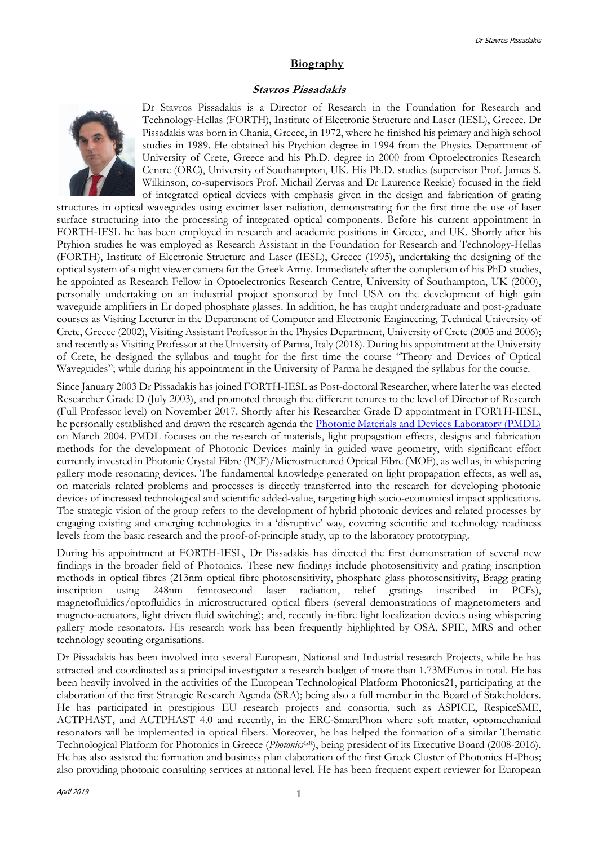### **Biography**

#### **Stavros Pissadakis**



Dr Stavros Pissadakis is a Director of Research in the Foundation for Research and Technology-Hellas (FORTH), Institute of Electronic Structure and Laser (IESL), Greece. Dr Pissadakis was born in Chania, Greece, in 1972, where he finished his primary and high school studies in 1989. He obtained his Ptychion degree in 1994 from the Physics Department of University of Crete, Greece and his Ph.D. degree in 2000 from Optoelectronics Research Centre (ORC), University of Southampton, UK. His Ph.D. studies (supervisor Prof. James S. Wilkinson, co-supervisors Prof. Michail Zervas and Dr Laurence Reekie) focused in the field of integrated optical devices with emphasis given in the design and fabrication of grating

structures in optical waveguides using excimer laser radiation, demonstrating for the first time the use of laser surface structuring into the processing of integrated optical components. Before his current appointment in FORTH-IESL he has been employed in research and academic positions in Greece, and UK. Shortly after his Ptyhion studies he was employed as Research Assistant in the Foundation for Research and Technology-Hellas (FORTH), Institute of Electronic Structure and Laser (IESL), Greece (1995), undertaking the designing of the optical system of a night viewer camera for the Greek Army. Immediately after the completion of his PhD studies, he appointed as Research Fellow in Optoelectronics Research Centre, University of Southampton, UK (2000), personally undertaking on an industrial project sponsored by Intel USA on the development of high gain waveguide amplifiers in Er doped phosphate glasses. In addition, he has taught undergraduate and post-graduate courses as Visiting Lecturer in the Department of Computer and Electronic Engineering, Technical University of Crete, Greece (2002), Visiting Assistant Professor in the Physics Department, University of Crete (2005 and 2006); and recently as Visiting Professor at the University of Parma, Italy (2018). During his appointment at the University of Crete, he designed the syllabus and taught for the first time the course "Theory and Devices of Optical Waveguides"; while during his appointment in the University of Parma he designed the syllabus for the course.

Since January 2003 Dr Pissadakis has joined FORTH-IESL as Post-doctoral Researcher, where later he was elected Researcher Grade D (July 2003), and promoted through the different tenures to the level of Director of Research (Full Professor level) on November 2017. Shortly after his Researcher Grade D appointment in FORTH-IESL, he personally established and drawn the research agenda the [Photonic Materials and Devices Laboratory \(PMDL\)](http://www.iesl.forth.gr/users/pmdl/) on March 2004. PMDL focuses on the research of materials, light propagation effects, designs and fabrication methods for the development of Photonic Devices mainly in guided wave geometry, with significant effort currently invested in Photonic Crystal Fibre (PCF)/Microstructured Optical Fibre (MOF), as well as, in whispering gallery mode resonating devices. The fundamental knowledge generated on light propagation effects, as well as, on materials related problems and processes is directly transferred into the research for developing photonic devices of increased technological and scientific added-value, targeting high socio-economical impact applications. The strategic vision of the group refers to the development of hybrid photonic devices and related processes by engaging existing and emerging technologies in a 'disruptive' way, covering scientific and technology readiness levels from the basic research and the proof-of-principle study, up to the laboratory prototyping.

During his appointment at FORTH-IESL, Dr Pissadakis has directed the first demonstration of several new findings in the broader field of Photonics. These new findings include photosensitivity and grating inscription methods in optical fibres (213nm optical fibre photosensitivity, phosphate glass photosensitivity, Bragg grating inscription using 248nm femtosecond laser radiation, relief gratings inscribed in PCFs), magnetofluidics/optofluidics in microstructured optical fibers (several demonstrations of magnetometers and magneto-actuators, light driven fluid switching); and, recently in-fibre light localization devices using whispering gallery mode resonators. His research work has been frequently highlighted by OSA, SPIE, MRS and other technology scouting organisations.

Dr Pissadakis has been involved into several European, National and Industrial research Projects, while he has attracted and coordinated as a principal investigator a research budget of more than 1.73MEuros in total. He has been heavily involved in the activities of the European Technological Platform Photonics21, participating at the elaboration of the first Strategic Research Agenda (SRA); being also a full member in the Board of Stakeholders. He has participated in prestigious EU research projects and consortia, such as ASPICE, RespiceSME, ACTPHAST, and ACTPHAST 4.0 and recently, in the ERC-SmartPhon where soft matter, optomechanical resonators will be implemented in optical fibers. Moreover, he has helped the formation of a similar Thematic Technological Platform for Photonics in Greece (*PhotonicsGR*), being president of its Executive Board (2008-2016). He has also assisted the formation and business plan elaboration of the first Greek Cluster of Photonics H-Phos; also providing photonic consulting services at national level. He has been frequent expert reviewer for European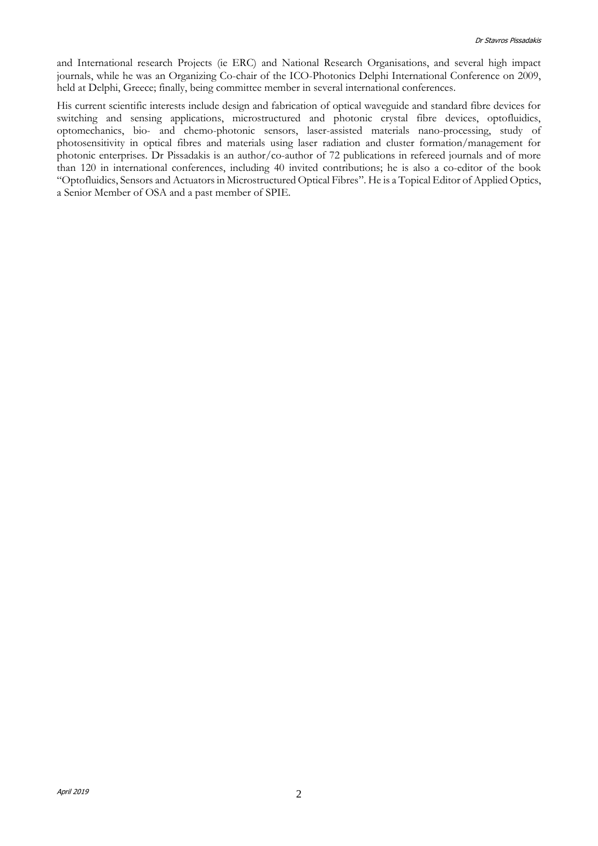and International research Projects (ie ERC) and National Research Organisations, and several high impact journals, while he was an Organizing Co-chair of the ICO-Photonics Delphi International Conference on 2009, held at Delphi, Greece; finally, being committee member in several international conferences.

His current scientific interests include design and fabrication of optical waveguide and standard fibre devices for switching and sensing applications, microstructured and photonic crystal fibre devices, optofluidics, optomechanics, bio- and chemo-photonic sensors, laser-assisted materials nano-processing, study of photosensitivity in optical fibres and materials using laser radiation and cluster formation/management for photonic enterprises. Dr Pissadakis is an author/co-author of 72 publications in refereed journals and of more than 120 in international conferences, including 40 invited contributions; he is also a co-editor of the book "Optofluidics, Sensors and Actuators in Microstructured Optical Fibres". He is a Topical Editor of Applied Optics, a Senior Member of OSA and a past member of SPIE.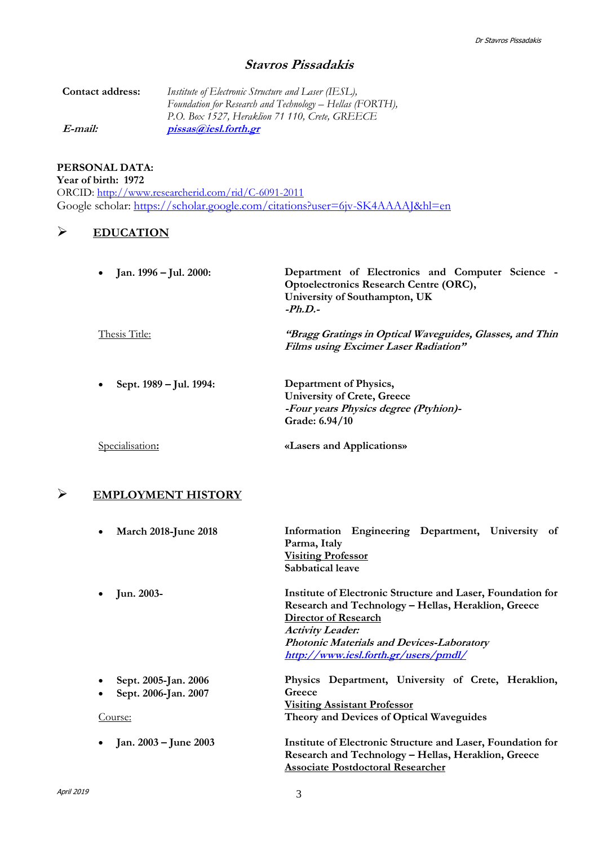# **Stavros Pissadakis**

| Contact address: | Institute of Electronic Structure and Laser (IESL),      |
|------------------|----------------------------------------------------------|
|                  | Foundation for Research and Technology – Hellas (FORTH), |
|                  | P.O. Box 1527, Heraklion 71 110, Crete, GREECE           |
| E-mail:          | pissas@iesl.forth.gr                                     |

### **PERSONAL DATA:**

**Year of birth: 1972**

ORCID:<http://www.researcherid.com/rid/C-6091-2011> Google scholar:<https://scholar.google.com/citations?user=6jv-SK4AAAAJ&hl=en>

## **EDUCATION**

| • Jan. 1996 – Jul. 2000:             | Department of Electronics and Computer Science -<br>Optoelectronics Research Centre (ORC),<br>University of Southampton, UK<br>$-Ph.D.$ |
|--------------------------------------|-----------------------------------------------------------------------------------------------------------------------------------------|
| <b>Thesis Title:</b>                 | "Bragg Gratings in Optical Waveguides, Glasses, and Thin<br><b>Films using Excimer Laser Radiation"</b>                                 |
| Sept. 1989 – Jul. 1994:<br>$\bullet$ | Department of Physics,<br><b>University of Crete, Greece</b><br>-Four years Physics degree (Ptyhion)-<br>Grade: 6.94/10                 |
| Specialisation:                      | «Lasers and Applications»                                                                                                               |

# **EMPLOYMENT HISTORY**

| <b>March 2018-June 2018</b>       | Information Engineering Department, University of<br>Parma, Italy |
|-----------------------------------|-------------------------------------------------------------------|
|                                   | <b>Visiting Professor</b>                                         |
|                                   | Sabbatical leave                                                  |
| Jun. 2003-                        | Institute of Electronic Structure and Laser, Foundation for       |
|                                   | Research and Technology – Hellas, Heraklion, Greece               |
|                                   | <b>Director of Research</b>                                       |
|                                   | <b>Activity Leader:</b>                                           |
|                                   | <b>Photonic Materials and Devices-Laboratory</b>                  |
|                                   | http://www.iesl.forth.gr/users/pmdl/                              |
| Sept. 2005-Jan. 2006              | Physics Department, University of Crete, Heraklion,               |
| Sept. 2006-Jan. 2007<br>$\bullet$ | Greece                                                            |
|                                   | <b>Visiting Assistant Professor</b>                               |
| Course:                           | Theory and Devices of Optical Waveguides                          |
| Jan. 2003 – June 2003             | Institute of Electronic Structure and Laser, Foundation for       |
|                                   | Research and Technology - Hellas, Heraklion, Greece               |
|                                   | <b>Associate Postdoctoral Researcher</b>                          |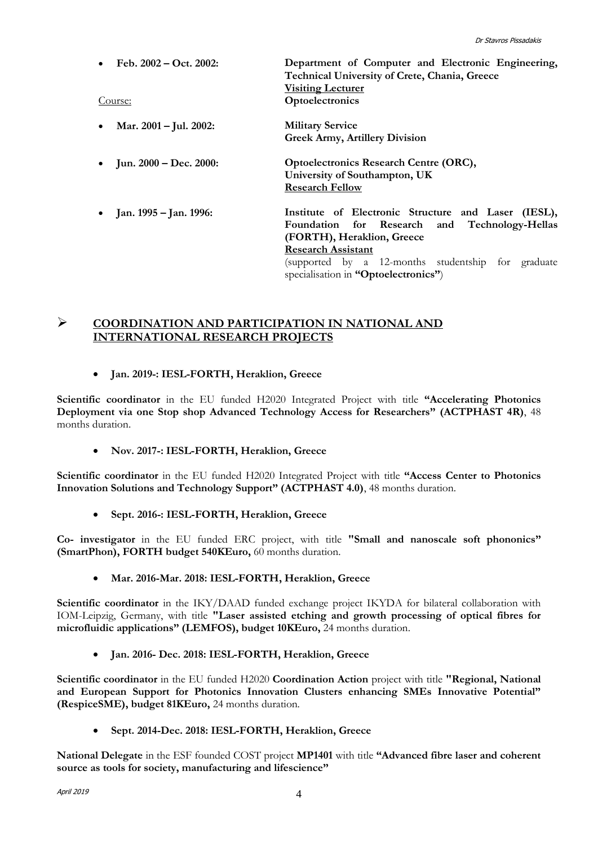| Feb. $2002 - Oct. 2002$ :<br>Course: | Department of Computer and Electronic Engineering,<br>Technical University of Crete, Chania, Greece<br><b>Visiting Lecturer</b><br>Optoelectronics                                                                    |
|--------------------------------------|-----------------------------------------------------------------------------------------------------------------------------------------------------------------------------------------------------------------------|
| Mar. 2001 – Jul. 2002:               | <b>Military Service</b><br><b>Greek Army, Artillery Division</b>                                                                                                                                                      |
| Jun. 2000 – Dec. 2000:               | <b>Optoelectronics Research Centre (ORC),</b><br>University of Southampton, UK<br><b>Research Fellow</b>                                                                                                              |
| Jan. 1995 – Jan. 1996:               | Institute of Electronic Structure and Laser (IESL),<br>Foundation for Research and Technology-Hellas<br>(FORTH), Heraklion, Greece<br><b>Research Assistant</b><br>(supported by a 12-months studentship for graduate |

specialisation in **"Optoelectronics"**)

### **COORDINATION AND PARTICIPATION IN NATIONAL AND INTERNATIONAL RESEARCH PROJECTS**

### **Jan. 2019-: IESL-FORTH, Heraklion, Greece**

**Scientific coordinator** in the EU funded H2020 Integrated Project with title **"Accelerating Photonics Deployment via one Stop shop Advanced Technology Access for Researchers" (ACTPHAST 4R)**, 48 months duration.

### **Nov. 2017-: IESL-FORTH, Heraklion, Greece**

**Scientific coordinator** in the EU funded H2020 Integrated Project with title **"Access Center to Photonics Innovation Solutions and Technology Support" (ACTPHAST 4.0)**, 48 months duration.

**Sept. 2016-: IESL-FORTH, Heraklion, Greece**

**Co- investigator** in the EU funded ERC project, with title **"Small and nanoscale soft phononics" (SmartPhon), FORTH budget 540KEuro,** 60 months duration.

### **Mar. 2016-Mar. 2018: IESL-FORTH, Heraklion, Greece**

Scientific coordinator in the IKY/DAAD funded exchange project IKYDA for bilateral collaboration with IOM-Leipzig, Germany, with title **"Laser assisted etching and growth processing of optical fibres for microfluidic applications" (LEMFOS), budget 10KEuro,** 24 months duration.

**Jan. 2016- Dec. 2018: IESL-FORTH, Heraklion, Greece**

**Scientific coordinator** in the EU funded H2020 **Coordination Action** project with title **"Regional, National and European Support for Photonics Innovation Clusters enhancing SMEs Innovative Potential" (RespiceSME), budget 81KEuro,** 24 months duration.

**Sept. 2014-Dec. 2018: IESL-FORTH, Heraklion, Greece**

**National Delegate** in the ESF founded COST project **MP1401** with title **"Advanced fibre laser and coherent source as tools for society, manufacturing and lifescience"**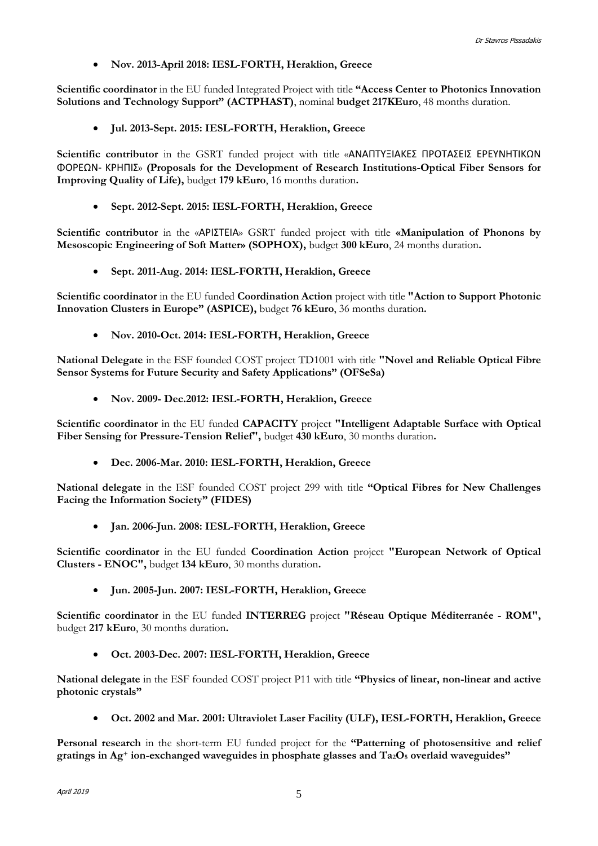**Nov. 2013-April 2018: IESL-FORTH, Heraklion, Greece**

**Scientific coordinator** in the EU funded Integrated Project with title **"Access Center to Photonics Innovation Solutions and Technology Support" (ACTPHAST)**, nominal **budget 217KEuro**, 48 months duration.

**Jul. 2013-Sept. 2015: IESL-FORTH, Heraklion, Greece**

Scientific contributor in the GSRT funded project with title «ΑΝΑΠΤΥΞΙΑΚΕΣ ΠΡΟΤΑΣΕΙΣ ΕΡΕΥΝΗΤΙΚΩΝ ΦΟΡΕΩΝ- ΚΡΗΠΙΣ» **(Proposals for the Development of Research Institutions-Optical Fiber Sensors for Improving Quality of Life),** budget **179 kEuro**, 16 months duration**.**

**Sept. 2012-Sept. 2015: IESL-FORTH, Heraklion, Greece**

**Scientific contributor** in the «ΑΡΙΣΤΕΙΑ» GSRT funded project with title **«Manipulation of Phonons by Mesoscopic Engineering of Soft Matter» (SOPHOX),** budget **300 kEuro**, 24 months duration**.**

**Sept. 2011-Aug. 2014: IESL-FORTH, Heraklion, Greece**

**Scientific coordinator** in the EU funded **Coordination Action** project with title **"Action to Support Photonic Innovation Clusters in Europe" (ASPICE),** budget **76 kEuro**, 36 months duration**.**

**Nov. 2010-Oct. 2014: IESL-FORTH, Heraklion, Greece**

**National Delegate** in the ESF founded COST project TD1001 with title **"Novel and Reliable Optical Fibre Sensor Systems for Future Security and Safety Applications" (OFSeSa)** 

**Nov. 2009- Dec.2012: IESL-FORTH, Heraklion, Greece**

Scientific coordinator in the EU funded **CAPACITY** project "Intelligent Adaptable Surface with Optical **Fiber Sensing for Pressure-Tension Relief",** budget **430 kEuro**, 30 months duration**.**

**Dec. 2006-Mar. 2010: IESL-FORTH, Heraklion, Greece**

**National delegate** in the ESF founded COST project 299 with title **"Optical Fibres for New Challenges Facing the Information Society" (FIDES)**

**Jan. 2006-Jun. 2008: IESL-FORTH, Heraklion, Greece**

**Scientific coordinator** in the EU funded **Coordination Action** project **"European Network of Optical Clusters - ENOC",** budget **134 kEuro**, 30 months duration**.**

**Jun. 2005-Jun. 2007: IESL-FORTH, Heraklion, Greece**

**Scientific coordinator** in the EU funded **INTERREG** project **"Réseau Optique Méditerranée - ROM",**  budget **217 kEuro**, 30 months duration**.**

**Oct. 2003-Dec. 2007: IESL-FORTH, Heraklion, Greece**

**National delegate** in the ESF founded COST project P11 with title **"Physics of linear, non-linear and active photonic crystals"**

**Oct. 2002 and Mar. 2001: Ultraviolet Laser Facility (ULF), IESL-FORTH, Heraklion, Greece**

**Personal research** in the short-term EU funded project for the **"Patterning of photosensitive and relief gratings in Ag<sup>+</sup> ion-exchanged waveguides in phosphate glasses and Ta2O<sup>5</sup> overlaid waveguides"**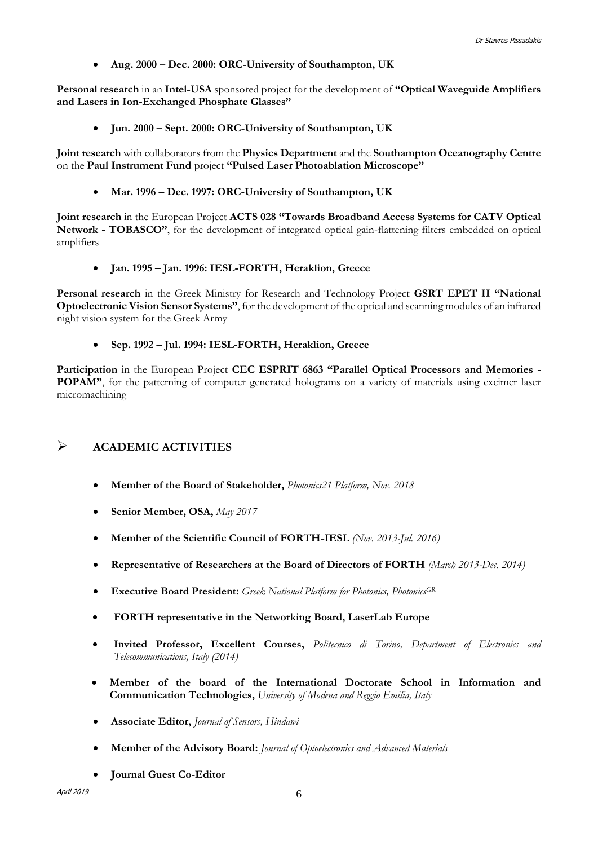**Aug. 2000 – Dec. 2000: ORC-University of Southampton, UK**

**Personal research** in an **Intel-USA** sponsored project for the development of **"Optical Waveguide Amplifiers and Lasers in Ion-Exchanged Phosphate Glasses"**

**Jun. 2000 – Sept. 2000: ORC-University of Southampton, UK**

**Joint research** with collaborators from the **Physics Department** and the **Southampton Oceanography Centre**  on the **Paul Instrument Fund** project **"Pulsed Laser Photoablation Microscope"**

**Mar. 1996 – Dec. 1997: ORC-University of Southampton, UK**

**Joint research** in the European Project **ACTS 028 "Towards Broadband Access Systems for CATV Optical Network - TOBASCO"**, for the development of integrated optical gain-flattening filters embedded on optical amplifiers

**Jan. 1995 – Jan. 1996: IESL-FORTH, Heraklion, Greece**

**Personal research** in the Greek Ministry for Research and Technology Project **GSRT EPET II "National Optoelectronic Vision Sensor Systems"**, for the development of the optical and scanning modules of an infrared night vision system for the Greek Army

### **Sep. 1992 – Jul. 1994: IESL-FORTH, Heraklion, Greece**

**Participation** in the European Project **CEC ESPRIT 6863 "Parallel Optical Processors and Memories - POPAM"**, for the patterning of computer generated holograms on a variety of materials using excimer laser micromachining

## **ACADEMIC ACTIVITIES**

- **Member of the Board of Stakeholder,** *Photonics21 Platform, Nov. 2018*
- **Senior Member, OSA,** *May 2017*
- **Member of the Scientific Council of FORTH-IESL** *(Nov. 2013-Jul. 2016)*
- **Representative of Researchers at the Board of Directors of FORTH** *(March 2013-Dec. 2014)*
- **Executive Board President:** *Greek National Platform for Photonics, PhotonicsGR*
- **FORTH representative in the Networking Board, LaserLab Europe**
- **Invited Professor, Excellent Courses,** *Politecnico di Torino, Department of Electronics and Telecommunications, Italy (2014)*
- **Member of the board of the International Doctorate School in Information and Communication Technologies,** *University of Modena and Reggio Emilia, Italy*
- **Associate Editor,** *Journal of Sensors, Hindawi*
- **Member of the Advisory Board:** *Journal of Optoelectronics and Advanced Materials*
- **Journal Guest Co-Editor**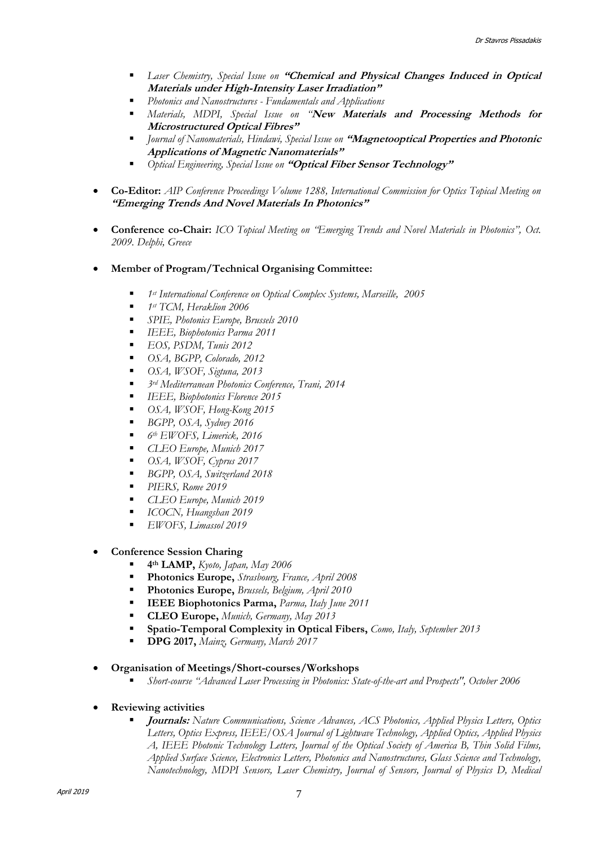- *Laser Chemistry, Special Issue on* **"Chemical and Physical Changes Induced in Optical Materials under High-Intensity Laser Irradiation"**
- *Photonics and Nanostructures - Fundamentals and Applications*
- *Materials, MDPI, Special Issue on "***New Materials and Processing Methods for Microstructured Optical Fibres"**
- *Journal of Nanomaterials, Hindawi, Special Issue on* **"Magnetooptical Properties and Photonic Applications of Magnetic Nanomaterials"**
- *Optical Engineering, Special Issue on* **"Optical Fiber Sensor Technology"**
- **Co-Editor:** *AIP Conference Proceedings Volume 1288, International Commission for Optics Topical Meeting on*  **"Emerging Trends And Novel Materials In Photonics"**
- **Conference co-Chair:** *ICO Topical Meeting on "Emerging Trends and Novel Materials in Photonics", Oct. 2009. Delphi, Greece*
- **Member of Program/Technical Organising Committee:**
	- *1st International Conference on Optical Complex Systems, Marseille, 2005*
	- *1st TCM, Heraklion 2006*
	- *SPIE, Photonics Europe, Brussels 2010*
	- *IEEE, Biophotonics Parma 2011*
	- *EOS, PSDM, Tunis 2012*
	- *OSA, BGPP, Colorado, 2012*
	- *OSA, WSOF, Sigtuna, 2013*
	- *3rd Mediterranean Photonics Conference, Trani, 2014*
	- *IEEE, Biophotonics Florence 2015*
	- *OSA, WSOF, Hong-Kong 2015*
	- *BGPP, OSA, Sydney 2016*
	- *6th EWOFS, Limerick, 2016*
	- *CLEO Europe, Munich 2017*
	- *OSA, WSOF, Cyprus 2017*
	- *BGPP, OSA, Switzerland 2018*
	- *PIERS, Rome 2019*
	- *CLEO Europe, Munich 2019*
	- *ICOCN, Huangshan 2019*
	- *EWOFS, Limassol 2019*
- **Conference Session Charing**
	- **4th LAMP,** *Kyoto, Japan, May 2006*
	- **Photonics Europe,** *Strasbourg, France, April 2008*
	- **Photonics Europe,** *Brussels, Belgium, April 2010*
	- **IEEE Biophotonics Parma,** *Parma, Italy June 2011*
	- **CLEO Europe,** *Munich, Germany, May 2013*
	- **Spatio-Temporal Complexity in Optical Fibers,** *Como, Italy, September 2013*
	- **DPG 2017,** *Mainz, Germany, March 2017*
- **Organisation of Meetings/Short-courses/Workshops**
	- *Short-course "Advanced Laser Processing in Photonics: State-of-the-art and Prospects", October 2006*
- **Reviewing activities**
	- **Journals:** *Nature Communications, Science Advances, ACS Photonics, Applied Physics Letters, Optics Letters, Optics Express, IEEE/OSA Journal of Lightwave Technology, Applied Optics, Applied Physics A, IEEE Photonic Technology Letters, Journal of the Optical Society of America B, Thin Solid Films, Applied Surface Science, Electronics Letters, Photonics and Nanostructures, Glass Science and Technology, Nanotechnology, MDPI Sensors, Laser Chemistry, Journal of Sensors, Journal of Physics D, Medical*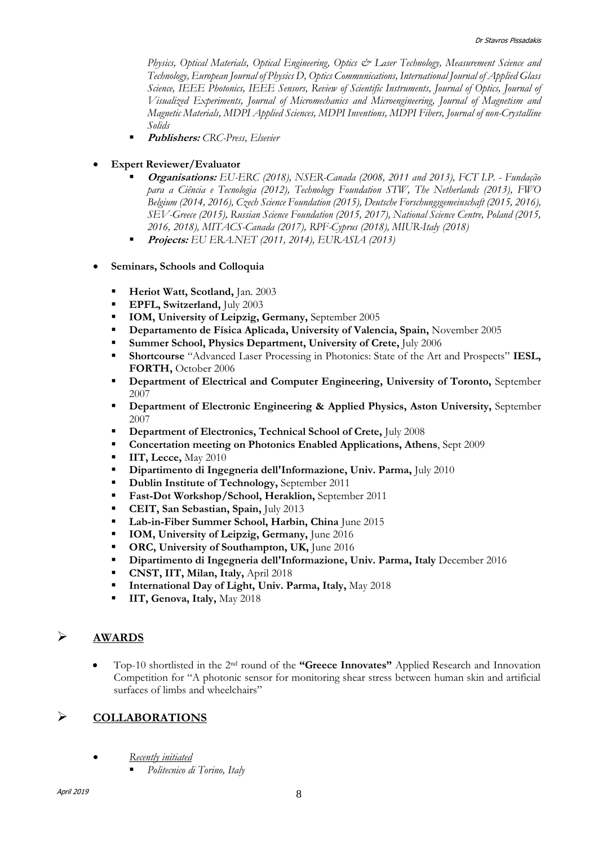*Physics, Optical Materials, Optical Engineering, Optics & Laser Technology, Measurement Science and Technology, European Journal of Physics D, Optics Communications, International Journal of Applied Glass Science, IEEE Photonics, IEEE Sensors, Review of Scientific Instruments, Journal of Optics, Journal of Visualized Experiments, Journal of Micromechanics and Microengineering, Journal of Magnetism and Magnetic Materials, MDPI Applied Sciences, MDPI Inventions, MDPI Fibers, Journal of non-Crystalline Solids* 

- **Publishers:** *CRC-Press, Elsevier*
- **Expert Reviewer/Evaluator**
	- **Organisations:** *EU-ERC (2018), NSER-Canada (2008, 2011 and 2013), FCT I.P. - Fundação para a Ciência e Tecnologia (2012), Technology Foundation STW, The Netherlands (2013), FWO Belgium (2014, 2016), Czech Science Foundation (2015), Deutsche Forschungsgemeinschaft (2015, 2016), SEV-Greece (2015), Russian Science Foundation (2015, 2017), National Science Centre, Poland (2015, 2016, 2018), MITACS-Canada (2017), RPF-Cyprus (2018), MIUR-Italy (2018)*
	- **Projects:** *EU ERA.NET (2011, 2014), EURASIA (2013)*
- **Seminars, Schools and Colloquia**
	- **Heriot Watt, Scotland,** Jan. 2003
	- **EPFL, Switzerland, July 2003**
	- **IOM, University of Leipzig, Germany, September 2005**
	- **Departamento de Física Aplicada, University of Valencia, Spain,** November 2005
	- **Summer School, Physics Department, University of Crete,** July 2006
	- **Shortcourse** "Advanced Laser Processing in Photonics: State of the Art and Prospects" **IESL, FORTH,** October 2006
	- **Department of Electrical and Computer Engineering, University of Toronto,** September 2007
	- **PEDEPARTMENT OF EXECUTE:** Department of Electronic Engineering & Applied Physics, Aston University, September 2007
	- **Department of Electronics, Technical School of Crete,** July 2008
	- **Concertation meeting on Photonics Enabled Applications, Athens**, Sept 2009
	- **IIT, Lecce, May 2010**
	- **Dipartimento di Ingegneria dell'Informazione, Univ. Parma,** July 2010
	- **-** Dublin Institute of Technology, September 2011
	- **Fast-Dot Workshop/School, Heraklion, September 2011**
	- **CEIT, San Sebastian, Spain,** July 2013
	- **Lab-in-Fiber Summer School, Harbin, China** June 2015
	- **IOM, University of Leipzig, Germany, June 2016**
	- **ORC, University of Southampton, UK, June 2016**
	- **Dipartimento di Ingegneria dell'Informazione, Univ. Parma, Italy** December 2016
	- **CNST, IIT, Milan, Italy,** April 2018
	- **International Day of Light, Univ. Parma, Italy,** May 2018
	- **IIT, Genova, Italy,** May 2018

## **AWARDS**

 Top-10 shortlisted in the 2nd round of the **"Greece Innovates"** Applied Research and Innovation Competition for "A photonic sensor for monitoring shear stress between human skin and artificial surfaces of limbs and wheelchairs"

## **COLLABORATIONS**

- *Recently initiated*
	- *Politecnico di Torino, Italy*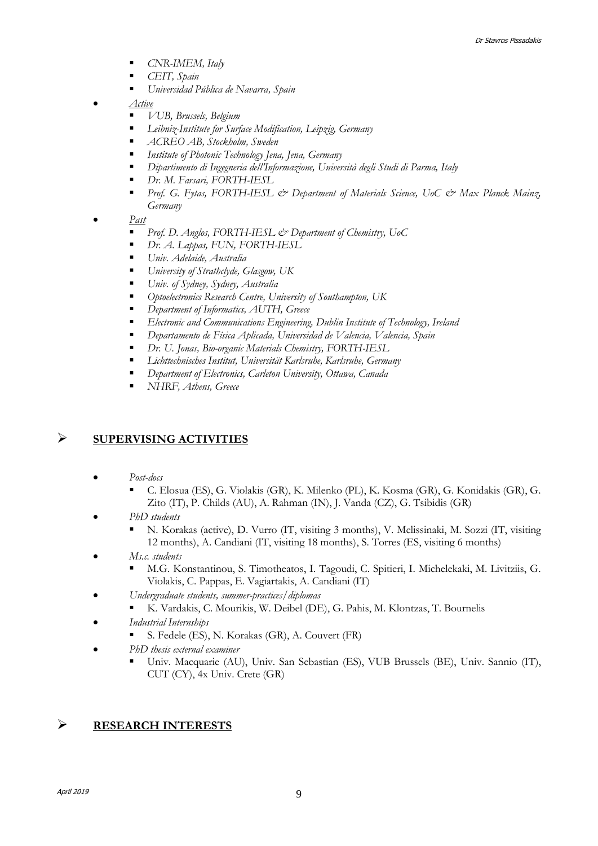- *CNR-IMEM, Italy*
- *CEIT, Spain*
- *Universidad Pública de Navarra, Spain*
- *Active*
	- *VUB, Brussels, Belgium*
	- *Leibniz-Institute for Surface Modification, Leipzig, Germany*
	- *ACREO AB, Stockholm, Sweden*
	- *Institute of Photonic Technology Jena, Jena, Germany*
	- *Dipartimento di Ingegneria dell'Informazione, Università degli Studi di Parma, Italy*
	- *Dr. M. Farsari, FORTH-IESL*
	- Prof. G. Fytas, FORTH-IESL & Department of Materials Science, UoC & Max Planck Mainz, *Germany*
- *Past*
	- *Prof. D. Anglos, FORTH-IESL & Department of Chemistry, UoC*
	- *Dr. A. Lappas, FUN, FORTH-IESL*
	- *Univ. Adelaide, Australia*
	- *University of Strathclyde, Glasgow, UK*
	- *Univ. of Sydney, Sydney, Australia*
	- *Optoelectronics Research Centre, University of Southampton, UK*
	- *Department of Informatics, AUTH, Greece*
	- *Electronic and Communications Engineering, Dublin Institute of Technology, Ireland*
	- *Departamento de Física Aplicada, Universidad de Valencia, Valencia, Spain*
	- *Dr. U. Jonas, Bio-organic Materials Chemistry, FORTH-IESL*
	- *Lichttechnisches Institut, Universität Karlsruhe, Karlsruhe, Germany*
	- *Department of Electronics, Carleton University, Ottawa, Canada*
	- *NHRF, Athens, Greece*

### **SUPERVISING ACTIVITIES**

- *Post-docs*
	- C. Elosua (ES), G. Violakis (GR), K. Milenko (PL), K. Kosma (GR), G. Konidakis (GR), G. Zito (IT), P. Childs (AU), A. Rahman (IN), J. Vanda (CZ), G. Tsibidis (GR)
- *PhD students* 
	- N. Korakas (active), D. Vurro (IT, visiting 3 months), V. Melissinaki, M. Sozzi (IT, visiting 12 months), A. Candiani (IT, visiting 18 months), S. Torres (ES, visiting 6 months)
- *Ms.c. students*
	- M.G. Konstantinou, S. Timotheatos, I. Tagoudi, C. Spitieri, I. Michelekaki, M. Livitziis, G. Violakis, C. Pappas, E. Vagiartakis, A. Candiani (IT)
	- *Undergraduate students, summer-practices/diplomas*
		- K. Vardakis, C. Mourikis, W. Deibel (DE), G. Pahis, M. Klontzas, T. Bournelis
- *Industrial Internships*
	- S. Fedele (ES), N. Korakas (GR), A. Couvert (FR)
- *PhD thesis external examiner*
	- Univ. Macquarie (AU), Univ. San Sebastian (ES), VUB Brussels (BE), Univ. Sannio (IT), CUT (CY), 4x Univ. Crete (GR)

### **RESEARCH INTERESTS**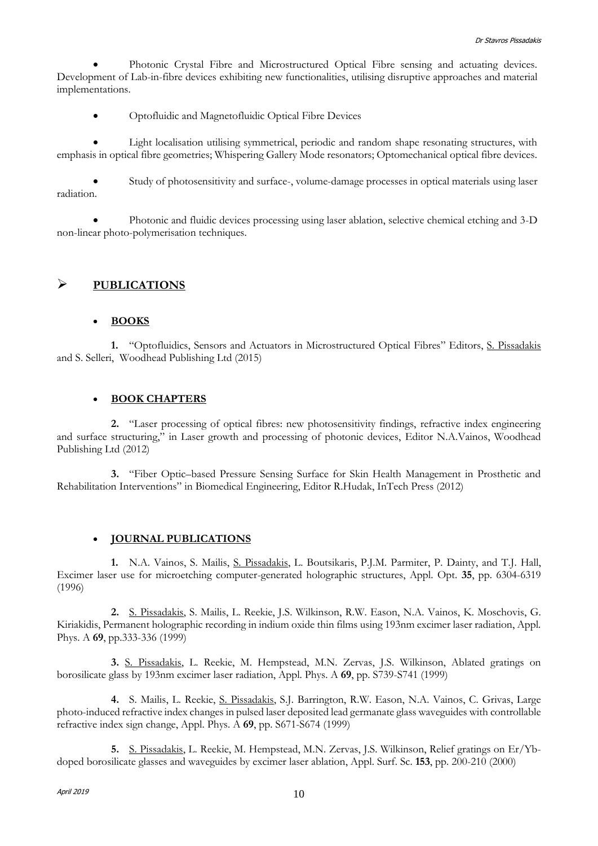Photonic Crystal Fibre and Microstructured Optical Fibre sensing and actuating devices. Development of Lab-in-fibre devices exhibiting new functionalities, utilising disruptive approaches and material implementations.

Optofluidic and Magnetofluidic Optical Fibre Devices

 Light localisation utilising symmetrical, periodic and random shape resonating structures, with emphasis in optical fibre geometries; Whispering Gallery Mode resonators; Optomechanical optical fibre devices.

 Study of photosensitivity and surface-, volume-damage processes in optical materials using laser radiation.

 Photonic and fluidic devices processing using laser ablation, selective chemical etching and 3-D non-linear photo-polymerisation techniques.

### **PUBLICATIONS**

#### **BOOKS**

**1.** "Optofluidics, Sensors and Actuators in Microstructured Optical Fibres" Editors, S. Pissadakis and S. Selleri, Woodhead Publishing Ltd (2015)

#### **BOOK CHAPTERS**

**2.** "Laser processing of optical fibres: new photosensitivity findings, refractive index engineering and surface structuring," in Laser growth and processing of photonic devices, Editor N.A.Vainos, Woodhead Publishing Ltd (2012)

**3.** "Fiber Optic–based Pressure Sensing Surface for Skin Health Management in Prosthetic and Rehabilitation Interventions" in Biomedical Engineering, Editor R.Hudak, InTech Press (2012)

### **JOURNAL PUBLICATIONS**

**1.** N.A. Vainos, S. Mailis, S. Pissadakis, L. Boutsikaris, P.J.M. Parmiter, P. Dainty, and T.J. Hall, Excimer laser use for microetching computer-generated holographic structures, Appl. Opt. **35**, pp. 6304-6319 (1996)

**2.** S. Pissadakis, S. Mailis, L. Reekie, J.S. Wilkinson, R.W. Eason, N.A. Vainos, K. Moschovis, G. Kiriakidis, Permanent holographic recording in indium oxide thin films using 193nm excimer laser radiation, Appl. Phys. A **69**, pp.333-336 (1999)

**3.** S. Pissadakis, L. Reekie, M. Hempstead, M.N. Zervas, J.S. Wilkinson, Ablated gratings on borosilicate glass by 193nm excimer laser radiation, Appl. Phys. A **69**, pp. S739-S741 (1999)

**4.** S. Mailis, L. Reekie, S. Pissadakis, S.J. Barrington, R.W. Eason, N.A. Vainos, C. Grivas, Large photo-induced refractive index changes in pulsed laser deposited lead germanate glass waveguides with controllable refractive index sign change, Appl. Phys. A **69**, pp. S671-S674 (1999)

**5.** S. Pissadakis, L. Reekie, M. Hempstead, M.N. Zervas, J.S. Wilkinson, Relief gratings on Er/Ybdoped borosilicate glasses and waveguides by excimer laser ablation, Appl. Surf. Sc. **153**, pp. 200-210 (2000)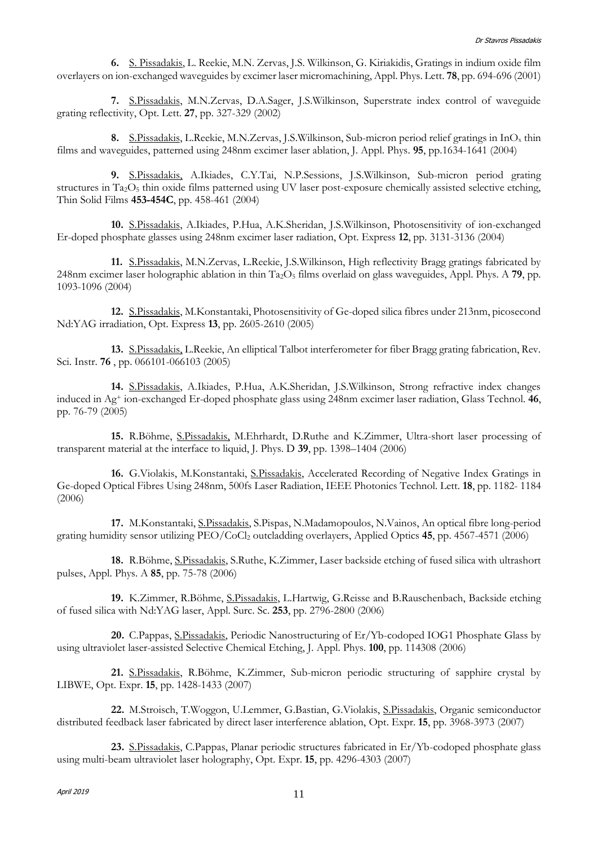**6.** S. Pissadakis, L. Reekie, M.N. Zervas, J.S. Wilkinson, G. Kiriakidis, Gratings in indium oxide film overlayers on ion-exchanged waveguides by excimer laser micromachining, Appl. Phys. Lett. **78**, pp. 694-696 (2001)

**7.** S.Pissadakis, M.N.Zervas, D.A.Sager, J.S.Wilkinson, Superstrate index control of waveguide grating reflectivity, Opt. Lett. **27**, pp. 327-329 (2002)

**8.** S.Pissadakis, L.Reekie, M.N.Zervas, J.S.Wilkinson, Sub-micron period relief gratings in InO<sup>x</sup> thin films and waveguides, patterned using 248nm excimer laser ablation, J. Appl. Phys. **95**, pp.1634-1641 (2004)

**9.** S.Pissadakis, A.Ikiades, C.Y.Tai, N.P.Sessions, J.S.Wilkinson, Sub-micron period grating structures in Ta<sub>2</sub>O<sub>5</sub> thin oxide films patterned using UV laser post-exposure chemically assisted selective etching, Thin Solid Films **453-454C**, pp. 458-461 (2004)

**10.** S.Pissadakis, A.Ikiades, P.Hua, A.K.Sheridan, J.S.Wilkinson, Photosensitivity of ion-exchanged Er-doped phosphate glasses using 248nm excimer laser radiation, Opt. Express **12**, pp. 3131-3136 (2004)

**11.** S.Pissadakis, M.N.Zervas, L.Reekie, J.S.Wilkinson, High reflectivity Bragg gratings fabricated by 248nm excimer laser holographic ablation in thin Ta2O<sup>5</sup> films overlaid on glass waveguides, Appl. Phys. A **79**, pp. 1093-1096 (2004)

**12.** S.Pissadakis, M.Konstantaki, Photosensitivity of Ge-doped silica fibres under 213nm, picosecond Nd:YAG irradiation, Opt. Express **13**, pp. 2605-2610 (2005)

**13.** S.Pissadakis, L.Reekie, An elliptical Talbot interferometer for fiber Bragg grating fabrication, Rev. Sci. Instr. **76** , pp. 066101-066103 (2005)

**14.** S.Pissadakis, A.Ikiades, P.Hua, A.K.Sheridan, J.S.Wilkinson, Strong refractive index changes induced in Ag<sup>+</sup> ion-exchanged Er-doped phosphate glass using 248nm excimer laser radiation, Glass Technol. **46**, pp. 76-79 (2005)

**15.** R.Böhme, S.Pissadakis, M.Ehrhardt, D.Ruthe and K.Zimmer, Ultra-short laser processing of transparent material at the interface to liquid, J. Phys. D **39**, pp. 1398–1404 (2006)

**16.** G.Violakis, M.Konstantaki, S.Pissadakis, Accelerated Recording of Negative Index Gratings in Ge-doped Optical Fibres Using 248nm, 500fs Laser Radiation, IEEE Photonics Technol. Lett. **18**, pp. 1182- 1184 (2006)

**17.** M.Konstantaki, S.Pissadakis, S.Pispas, N.Madamopoulos, N.Vainos, An optical fibre long-period grating humidity sensor utilizing PEO/CoCl<sup>2</sup> outcladding overlayers, Applied Optics **45**, pp. 4567-4571 (2006)

**18.** R.Böhme, S.Pissadakis, S.Ruthe, K.Zimmer, Laser backside etching of fused silica with ultrashort pulses, Appl. Phys. A **85**, pp. 75-78 (2006)

**19.** K.Zimmer, R.Böhme, S.Pissadakis, L.Hartwig, G.Reisse and B.Rauschenbach, Backside etching of fused silica with Nd:YAG laser, Appl. Surc. Sc. **253**, pp. 2796-2800 (2006)

**20.** C.Pappas, S.Pissadakis, Periodic Nanostructuring of Er/Yb-codoped IOG1 Phosphate Glass by using ultraviolet laser-assisted Selective Chemical Etching, J. Appl. Phys. **100**, pp. 114308 (2006)

**21.** S.Pissadakis, R.Böhme, K.Zimmer, Sub-micron periodic structuring of sapphire crystal by LIBWE, Opt. Expr. **15**, pp. 1428-1433 (2007)

**22.** M.Stroisch, T.Woggon, U.Lemmer, G.Bastian, G.Violakis, S.Pissadakis, Organic semiconductor distributed feedback laser fabricated by direct laser interference ablation, Opt. Expr. **15**, pp. 3968-3973 (2007)

**23.** S.Pissadakis, C.Pappas, Planar periodic structures fabricated in Er/Yb-codoped phosphate glass using multi-beam ultraviolet laser holography, Opt. Expr. **15**, pp. 4296-4303 (2007)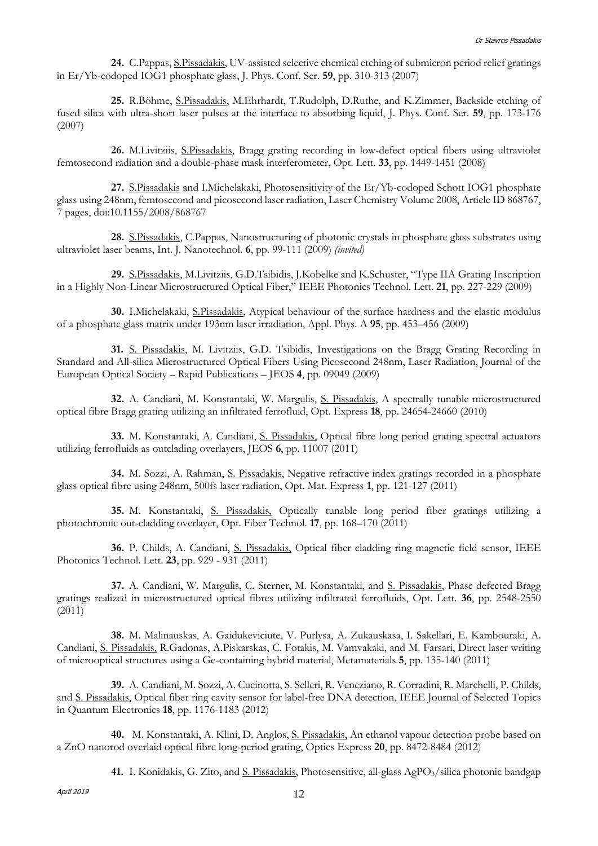**24.** C.Pappas, S.Pissadakis, UV-assisted selective chemical etching of submicron period relief gratings in Er/Yb-codoped IOG1 phosphate glass, J. Phys. Conf. Ser. **59**, pp. 310-313 (2007)

**25.** R.Böhme, S.Pissadakis, M.Ehrhardt, T.Rudolph, D.Ruthe, and K.Zimmer, Backside etching of fused silica with ultra-short laser pulses at the interface to absorbing liquid, J. Phys. Conf. Ser. **59**, pp. 173-176 (2007)

**26.** M.Livitziis, S.Pissadakis, Bragg grating recording in low-defect optical fibers using ultraviolet femtosecond radiation and a double-phase mask interferometer, Opt. Lett. **33**, pp. 1449-1451 (2008)

**27.** S.Pissadakis and I.Michelakaki, Photosensitivity of the Er/Yb-codoped Schott IOG1 phosphate glass using 248nm, femtosecond and picosecond laser radiation, Laser Chemistry Volume 2008, Article ID 868767, 7 pages, doi:10.1155/2008/868767

**28.** S.Pissadakis, C.Pappas, Nanostructuring of photonic crystals in phosphate glass substrates using ultraviolet laser beams, Int. J. Nanotechnol. **6**, pp. 99-111 (2009) *(invited)*

**29.** S.Pissadakis, M.Livitziis, G.D.Tsibidis, J.Kobelke and K.Schuster, "Type IIA Grating Inscription in a Highly Non-Linear Microstructured Optical Fiber," IEEE Photonics Technol. Lett. **21**, pp. 227-229 (2009)

**30.** I.Michelakaki, S.Pissadakis, Atypical behaviour of the surface hardness and the elastic modulus of a phosphate glass matrix under 193nm laser irradiation, Appl. Phys. A **95**, pp. 453–456 (2009)

**31.** S. Pissadakis, M. Livitziis, G.D. Tsibidis, Investigations on the Bragg Grating Recording in Standard and All-silica Microstructured Optical Fibers Using Picosecond 248nm, Laser Radiation, Journal of the European Optical Society – Rapid Publications – JEOS **4**, pp. 09049 (2009)

**32.** A. Candiani, M. Konstantaki, W. Margulis, S. Pissadakis, A spectrally tunable microstructured optical fibre Bragg grating utilizing an infiltrated ferrofluid, Opt. Express **18**, pp. 24654-24660 (2010)

**33.** M. Konstantaki, A. Candiani, S. Pissadakis, Optical fibre long period grating spectral actuators utilizing ferrofluids as outclading overlayers, JEOS **6**, pp. 11007 (2011)

**34.** M. Sozzi, A. Rahman, S. Pissadakis, Negative refractive index gratings recorded in a phosphate glass optical fibre using 248nm, 500fs laser radiation, Opt. Mat. Express **1**, pp. 121-127 (2011)

**35.** M. Konstantaki, S. Pissadakis, Optically tunable long period fiber gratings utilizing a photochromic out-cladding overlayer, Opt. Fiber Technol. **17**, pp. 168–170 (2011)

**36.** P. Childs, A. Candiani, S. Pissadakis, Optical fiber cladding ring magnetic field sensor, IEEE Photonics Technol. Lett. **23**, pp. 929 - 931 (2011)

37. A. Candiani, W. Margulis, C. Sterner, M. Konstantaki, and S. Pissadakis, Phase defected Bragg gratings realized in microstructured optical fibres utilizing infiltrated ferrofluids, Opt. Lett. **36**, pp. 2548-2550 (2011)

**38.** M. Malinauskas, A. Gaidukeviciute, V. Purlysa, A. Zukauskasa, I. Sakellari, E. Kambouraki, A. Candiani, S. Pissadakis, R.Gadonas, A.Piskarskas, C. Fotakis, M. Vamvakaki, and M. Farsari, Direct laser writing of microoptical structures using a Ge-containing hybrid material, Metamaterials **5**, pp. 135-140 (2011)

**39.** A. Candiani, M. Sozzi, A. Cucinotta, S. Selleri, R. Veneziano, R. Corradini, R. Marchelli, P. Childs, and S. Pissadakis, Optical fiber ring cavity sensor for label-free DNA detection, IEEE Journal of Selected Topics in Quantum Electronics **18**, pp. 1176-1183 (2012)

**40.** M. Konstantaki, A. Klini, D. Anglos, S. Pissadakis, An ethanol vapour detection probe based on a ZnO nanorod overlaid optical fibre long-period grating, Optics Express **20**, pp. 8472-8484 (2012)

**41.** I. Konidakis, G. Zito, and <u>S. Pissadakis</u>, Photosensitive, all-glass AgPO<sub>3</sub>/silica photonic bandgap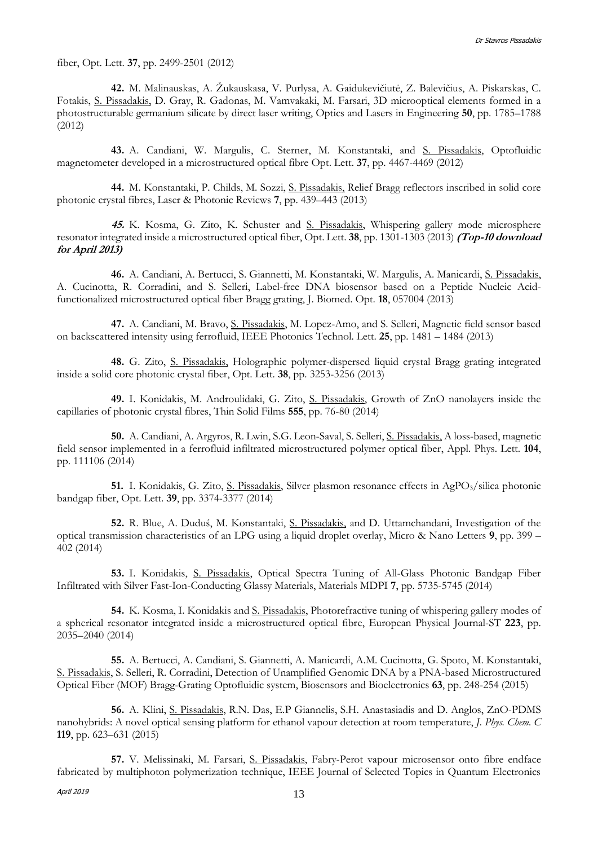fiber, Opt. Lett. **37**, pp. 2499-2501 (2012)

**42.** M. Malinauskas, A. Žukauskasa, V. Purlysa, A. Gaidukevičiutė, Z. Balevičius, A. Piskarskas, C. Fotakis, S. Pissadakis, D. Gray, R. Gadonas, M. Vamvakaki, M. Farsari, 3D microoptical elements formed in a photostructurable germanium silicate by direct laser writing, Optics and Lasers in Engineering **50**, pp. 1785–1788 (2012)

**43.** A. Candiani, W. Margulis, C. Sterner, M. Konstantaki, and S. Pissadakis, Optofluidic magnetometer developed in a microstructured optical fibre Opt. Lett. **37**, pp. 4467-4469 (2012)

**44.** M. Konstantaki, P. Childs, M. Sozzi, S. Pissadakis, Relief Bragg reflectors inscribed in solid core photonic crystal fibres, Laser & Photonic Reviews **7**, pp. 439–443 (2013)

**45.** K. Kosma, G. Zito, K. Schuster and S. Pissadakis, Whispering gallery mode microsphere resonator integrated inside a microstructured optical fiber, Opt. Lett. **38**, pp. 1301-1303 (2013) **(Top-10 download for April 2013)**

**46.** A. Candiani, A. Bertucci, S. Giannetti, M. Konstantaki, W. Margulis, A. Manicardi, S. Pissadakis, A. Cucinotta, R. Corradini, and S. Selleri, Label-free DNA biosensor based on a Peptide Nucleic Acidfunctionalized microstructured optical fiber Bragg grating, J. Biomed. Opt. **18**, 057004 (2013)

**47.** A. Candiani, M. Bravo, S. Pissadakis, M. Lopez-Amo, and S. Selleri, Magnetic field sensor based on backscattered intensity using ferrofluid, IEEE Photonics Technol. Lett. **25**, pp. 1481 – 1484 (2013)

**48.** G. Zito, S. Pissadakis, Holographic polymer-dispersed liquid crystal Bragg grating integrated inside a solid core photonic crystal fiber, Opt. Lett. **38**, pp. 3253-3256 (2013)

**49.** I. Konidakis, M. Androulidaki, G. Zito, S. Pissadakis, Growth of ZnO nanolayers inside the capillaries of photonic crystal fibres, Thin Solid Films **555**, pp. 76-80 (2014)

**50.** A. Candiani, A. Argyros, R. Lwin, S.G. Leon-Saval, S. Selleri, S. Pissadakis, A loss-based, magnetic field sensor implemented in a ferrofluid infiltrated microstructured polymer optical fiber, Appl. Phys. Lett. **104**, pp. 111106 (2014)

**51.** I. Konidakis, G. Zito, <u>S. Pissadakis</u>, Silver plasmon resonance effects in AgPO<sub>3</sub>/silica photonic bandgap fiber, Opt. Lett. **39**, pp. 3374-3377 (2014)

**52.** R. Blue, A. Duduś, M. Konstantaki, S. Pissadakis, and D. Uttamchandani, Investigation of the optical transmission characteristics of an LPG using a liquid droplet overlay, Micro & Nano Letters **9**, pp. 399 – 402 (2014)

**53.** I. Konidakis, S. Pissadakis, Optical Spectra Tuning of All-Glass Photonic Bandgap Fiber Infiltrated with Silver Fast-Ion-Conducting Glassy Materials, Materials MDPI **7**, pp. 5735-5745 (2014)

**54.** K. Kosma, I. Konidakis and S. Pissadakis, Photorefractive tuning of whispering gallery modes of a spherical resonator integrated inside a microstructured optical fibre, European Physical Journal-ST **223**, pp. 2035–2040 (2014)

**55.** A. Bertucci, A. Candiani, S. Giannetti, A. Manicardi, A.M. Cucinotta, G. Spoto, M. Konstantaki, S. Pissadakis, S. Selleri, R. Corradini, Detection of Unamplified Genomic DNA by a PNA-based Microstructured Optical Fiber (MOF) Bragg-Grating Optofluidic system, Biosensors and Bioelectronics **63**, pp. 248-254 (2015)

**56.** A. Klini, S. Pissadakis, R.N. Das, E.P Giannelis, S.H. Anastasiadis and D. Anglos, ZnO-PDMS nanohybrids: A novel optical sensing platform for ethanol vapour detection at room temperature, *J. Phys. Chem. C* **119**, pp. 623–631 (2015)

**57.** V. Melissinaki, M. Farsari, S. Pissadakis, Fabry-Perot vapour microsensor onto fibre endface fabricated by multiphoton polymerization technique, IEEE Journal of Selected Topics in Quantum Electronics

April 2019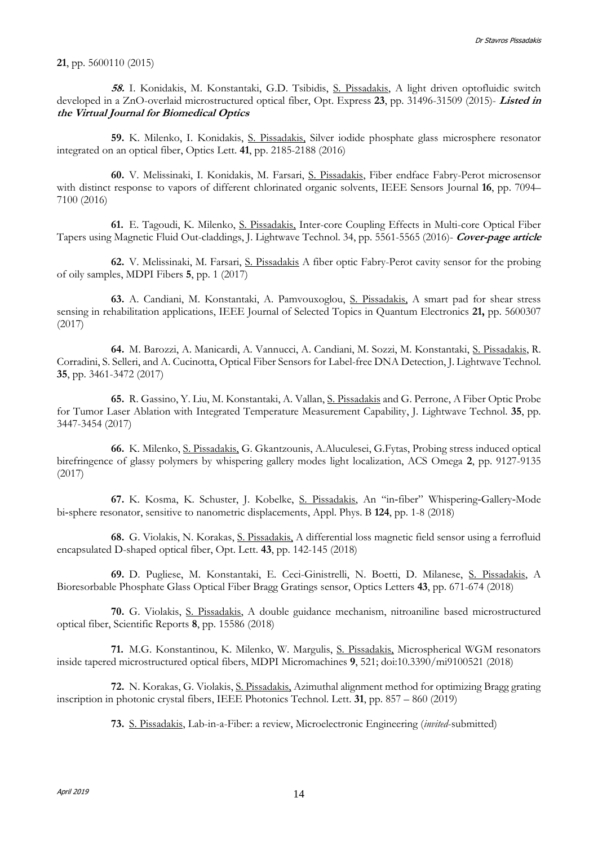#### **21**, pp. 5600110 (2015)

**58.** I. Konidakis, M. Konstantaki, G.D. Tsibidis, S. Pissadakis, A light driven optofluidic switch developed in a ZnO-overlaid microstructured optical fiber, Opt. Express **23**, pp. 31496-31509 (2015)- **Listed in the Virtual Journal for Biomedical Optics**

**59.** K. Milenko, I. Konidakis, S. Pissadakis, Silver iodide phosphate glass microsphere resonator integrated on an optical fiber, Optics Lett. **41**, pp. 2185-2188 (2016)

**60.** V. Melissinaki, I. Konidakis, M. Farsari, S. Pissadakis, Fiber endface Fabry-Perot microsensor with distinct response to vapors of different chlorinated organic solvents, IEEE Sensors Journal **16**, pp. 7094– 7100 (2016)

**61.** E. Tagoudi, K. Milenko, S. Pissadakis, Inter-core Coupling Effects in Multi-core Optical Fiber Tapers using Magnetic Fluid Out-claddings, J. Lightwave Technol. 34, pp. 5561-5565 (2016)- **Cover-page article**

**62.** V. Melissinaki, M. Farsari, S. Pissadakis A fiber optic Fabry-Perot cavity sensor for the probing of oily samples, MDPI Fibers **5**, pp. 1 (2017)

**63.** A. Candiani, M. Konstantaki, A. Pamvouxoglou, S. Pissadakis, A smart pad for shear stress sensing in rehabilitation applications, IEEE Journal of Selected Topics in Quantum Electronics **21,** pp. 5600307 (2017)

**64.** M. Barozzi, A. Manicardi, A. Vannucci, A. Candiani, M. Sozzi, M. Konstantaki, S. Pissadakis, R. Corradini, S. Selleri, and A. Cucinotta, Optical Fiber Sensors for Label-free DNA Detection, J. Lightwave Technol. **35**, pp. 3461-3472 (2017)

**65.** R. Gassino, Y. Liu, M. Konstantaki, A. Vallan, S. Pissadakis and G. Perrone, A Fiber Optic Probe for Tumor Laser Ablation with Integrated Temperature Measurement Capability, J. Lightwave Technol. **35**, pp. 3447-3454 (2017)

**66.** K. Milenko, S. Pissadakis, G. Gkantzounis, A.Aluculesei, G.Fytas, Probing stress induced optical birefringence of glassy polymers by whispering gallery modes light localization, ACS Omega **2**, pp. 9127-9135 (2017)

**67.** K. Kosma, K. Schuster, J. Kobelke, S. Pissadakis, An "in‑fiber" Whispering‑Gallery‑Mode bi‑sphere resonator, sensitive to nanometric displacements, Appl. Phys. B **124**, pp. 1-8 (2018)

**68.** G. Violakis, N. Korakas, S. Pissadakis, A differential loss magnetic field sensor using a ferrofluid encapsulated D-shaped optical fiber, Opt. Lett. **43**, pp. 142-145 (2018)

**69.** D. Pugliese, M. Konstantaki, E. Ceci-Ginistrelli, N. Boetti, D. Milanese, S. Pissadakis, A Bioresorbable Phosphate Glass Optical Fiber Bragg Gratings sensor, Optics Letters **43**, pp. 671-674 (2018)

**70.** G. Violakis, S. Pissadakis, A double guidance mechanism, nitroaniline based microstructured optical fiber, Scientific Reports **8**, pp. 15586 (2018)

**71.** M.G. Konstantinou, K. Milenko, W. Margulis, S. Pissadakis, Microspherical WGM resonators inside tapered microstructured optical fibers, MDPI Micromachines **9**, 521; doi:10.3390/mi9100521 (2018)

**72.** N. Korakas, G. Violakis, S. Pissadakis, Azimuthal alignment method for optimizing Bragg grating inscription in photonic crystal fibers, IEEE Photonics Technol. Lett. **31**, pp. 857 – 860 (2019)

**73.** S. Pissadakis, Lab-in-a-Fiber: a review, Microelectronic Engineering (*invited*-submitted)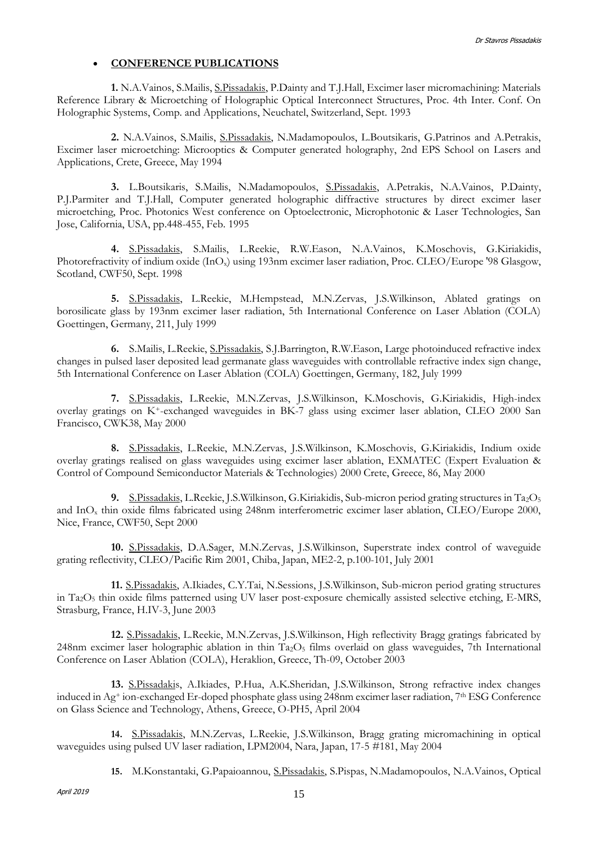### **CONFERENCE PUBLICATIONS**

**1.** N.A.Vainos, S.Mailis, S.Pissadakis, P.Dainty and T.J.Hall, Excimer laser micromachining: Materials Reference Library & Microetching of Holographic Optical Interconnect Structures, Proc. 4th Inter. Conf. On Holographic Systems, Comp. and Applications, Neuchatel, Switzerland, Sept. 1993

**2.** N.A.Vainos, S.Mailis, S.Pissadakis, N.Madamopoulos, L.Boutsikaris, G.Patrinos and A.Petrakis, Excimer laser microetching: Microoptics & Computer generated holography, 2nd EPS School on Lasers and Applications, Crete, Greece, May 1994

**3.** L.Boutsikaris, S.Mailis, N.Madamopoulos, S.Pissadakis, A.Petrakis, N.A.Vainos, P.Dainty, P.J.Parmiter and T.J.Hall, Computer generated holographic diffractive structures by direct excimer laser microetching, Proc. Photonics West conference on Optoelectronic, Microphotonic & Laser Technologies, San Jose, California, USA, pp.448-455, Feb. 1995

**4.** S.Pissadakis, S.Mailis, L.Reekie, R.W.Eason, N.A.Vainos, K.Moschovis, G.Kiriakidis, Photorefractivity of indium oxide (InO<sub>x</sub>) using 193nm excimer laser radiation, Proc. CLEO/Europe '98 Glasgow, Scotland, CWF50, Sept. 1998

**5.** S.Pissadakis, L.Reekie, M.Hempstead, M.N.Zervas, J.S.Wilkinson, Ablated gratings on borosilicate glass by 193nm excimer laser radiation, 5th International Conference on Laser Ablation (COLA) Goettingen, Germany, 211, July 1999

**6.** S.Mailis, L.Reekie, S.Pissadakis, S.J.Barrington, R.W.Eason, Large photoinduced refractive index changes in pulsed laser deposited lead germanate glass waveguides with controllable refractive index sign change, 5th International Conference on Laser Ablation (COLA) Goettingen, Germany, 182, July 1999

**7.** S.Pissadakis, L.Reekie, M.N.Zervas, J.S.Wilkinson, K.Moschovis, G.Kiriakidis, High-index overlay gratings on K+-exchanged waveguides in BK-7 glass using excimer laser ablation, CLEO 2000 San Francisco, CWK38, May 2000

**8.** S.Pissadakis, L.Reekie, M.N.Zervas, J.S.Wilkinson, K.Moschovis, G.Kiriakidis, Indium oxide overlay gratings realised on glass waveguides using excimer laser ablation, EXMATEC (Expert Evaluation & Control of Compound Semiconductor Materials & Technologies) 2000 Crete, Greece, 86, May 2000

9. S.Pissadakis, L.Reekie, J.S.Wilkinson, G.Kiriakidis, Sub-micron period grating structures in Ta<sub>2</sub>O<sub>5</sub> and InO<sup>x</sup> thin oxide films fabricated using 248nm interferometric excimer laser ablation, CLEO/Europe 2000, Nice, France, CWF50, Sept 2000

**10.** S.Pissadakis, D.A.Sager, M.N.Zervas, J.S.Wilkinson, Superstrate index control of waveguide grating reflectivity, CLEO/Pacific Rim 2001, Chiba, Japan, ME2-2, p.100-101, July 2001

**11.** S.Pissadakis, A.Ikiades, C.Y.Tai, N.Sessions, J.S.Wilkinson, Sub-micron period grating structures in Ta2O<sup>5</sup> thin oxide films patterned using UV laser post-exposure chemically assisted selective etching, E-MRS, Strasburg, France, H.IV-3, June 2003

**12.** S.Pissadakis, L.Reekie, M.N.Zervas, J.S.Wilkinson, High reflectivity Bragg gratings fabricated by 248nm excimer laser holographic ablation in thin  $Ta_2O_5$  films overlaid on glass waveguides, 7th International Conference on Laser Ablation (COLA), Heraklion, Greece, Th-09, October 2003

**13.** S.Pissadakis, A.Ikiades, P.Hua, A.K.Sheridan, J.S.Wilkinson, Strong refractive index changes induced in Ag<sup>+</sup> ion-exchanged Er-doped phosphate glass using 248nm excimer laser radiation, 7th ESG Conference on Glass Science and Technology, Athens, Greece, O-PH5, April 2004

**14.** S.Pissadakis, M.N.Zervas, L.Reekie, J.S.Wilkinson, Bragg grating micromachining in optical waveguides using pulsed UV laser radiation, LPM2004, Nara, Japan, 17-5 #181, May 2004

**15.** M.Konstantaki, G.Papaioannou, S.Pissadakis, S.Pispas, N.Madamopoulos, N.A.Vainos, Optical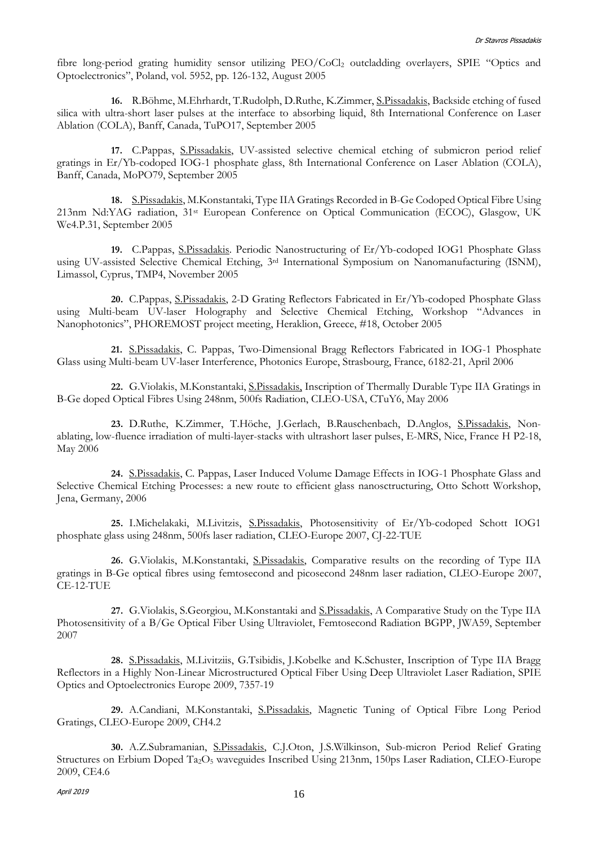fibre long-period grating humidity sensor utilizing PEO/CoCl<sub>2</sub> outcladding overlayers, SPIE "Optics and Optoelectronics", Poland, vol. 5952, pp. 126-132, August 2005

**16.** R.Böhme, M.Ehrhardt, T.Rudolph, D.Ruthe, K.Zimmer, S.Pissadakis, Backside etching of fused silica with ultra-short laser pulses at the interface to absorbing liquid, 8th International Conference on Laser Ablation (COLA), Banff, Canada, TuPO17, September 2005

**17.** C.Pappas, S.Pissadakis, UV-assisted selective chemical etching of submicron period relief gratings in Er/Yb-codoped IOG-1 phosphate glass, 8th International Conference on Laser Ablation (COLA), Banff, Canada, MoPO79, September 2005

**18.** S.Pissadakis, M.Konstantaki, Type IIA Gratings Recorded in B-Ge Codoped Optical Fibre Using 213nm Nd:YAG radiation, 31st European Conference on Optical Communication (ECOC), Glasgow, UK We4.P.31, September 2005

**19.** C.Pappas, S.Pissadakis. Periodic Nanostructuring of Er/Yb-codoped IOG1 Phosphate Glass using UV-assisted Selective Chemical Etching, 3rd International Symposium on Nanomanufacturing (ISNM), Limassol, Cyprus, TMP4, November 2005

**20.** C.Pappas, S.Pissadakis, 2-D Grating Reflectors Fabricated in Er/Yb-codoped Phosphate Glass using Multi-beam UV-laser Holography and Selective Chemical Etching, Workshop "Advances in Nanophotonics", PHOREMOST project meeting, Heraklion, Greece, #18, October 2005

**21.** S.Pissadakis, C. Pappas, Two-Dimensional Bragg Reflectors Fabricated in IOG-1 Phosphate Glass using Multi-beam UV-laser Interference, Photonics Europe, Strasbourg, France, 6182-21, April 2006

**22.** G.Violakis, M.Konstantaki, S.Pissadakis, Inscription of Thermally Durable Type IIA Gratings in B-Ge doped Optical Fibres Using 248nm, 500fs Radiation, CLEO-USA, CTuY6, May 2006

**23.** D.Ruthe, K.Zimmer, T.Höche, J.Gerlach, B.Rauschenbach, D.Anglos, S.Pissadakis, Nonablating, low-fluence irradiation of multi-layer-stacks with ultrashort laser pulses, E-MRS, Nice, France H P2-18, May 2006

**24.** S.Pissadakis, C. Pappas, Laser Induced Volume Damage Effects in IOG-1 Phosphate Glass and Selective Chemical Etching Processes: a new route to efficient glass nanosctructuring, Otto Schott Workshop, Jena, Germany, 2006

**25.** I.Michelakaki, M.Livitzis, S.Pissadakis, Photosensitivity of Er/Yb-codoped Schott IOG1 phosphate glass using 248nm, 500fs laser radiation, CLEO-Europe 2007, CJ-22-TUE

**26.** G.Violakis, M.Konstantaki, S.Pissadakis, Comparative results on the recording of Type IIA gratings in B-Ge optical fibres using femtosecond and picosecond 248nm laser radiation, CLEO-Europe 2007, CE-12-TUE

**27.** G.Violakis, S.Georgiou, M.Konstantaki and S.Pissadakis, A Comparative Study on the Type IIA Photosensitivity of a B/Ge Optical Fiber Using Ultraviolet, Femtosecond Radiation BGPP, JWA59, September 2007

**28.** S.Pissadakis, M.Livitziis, G.Tsibidis, J.Kobelke and K.Schuster, Inscription of Type IIA Bragg Reflectors in a Highly Non-Linear Microstructured Optical Fiber Using Deep Ultraviolet Laser Radiation, SPIE Optics and Optoelectronics Europe 2009, 7357-19

**29.** A.Candiani, M.Konstantaki, S.Pissadakis, Magnetic Tuning of Optical Fibre Long Period Gratings, CLEO-Europe 2009, CH4.2

**30.** A.Z.Subramanian, S.Pissadakis, C.J.Oton, J.S.Wilkinson, Sub-micron Period Relief Grating Structures on Erbium Doped Ta2O<sup>5</sup> waveguides Inscribed Using 213nm, 150ps Laser Radiation, CLEO-Europe 2009, CE4.6

April 2019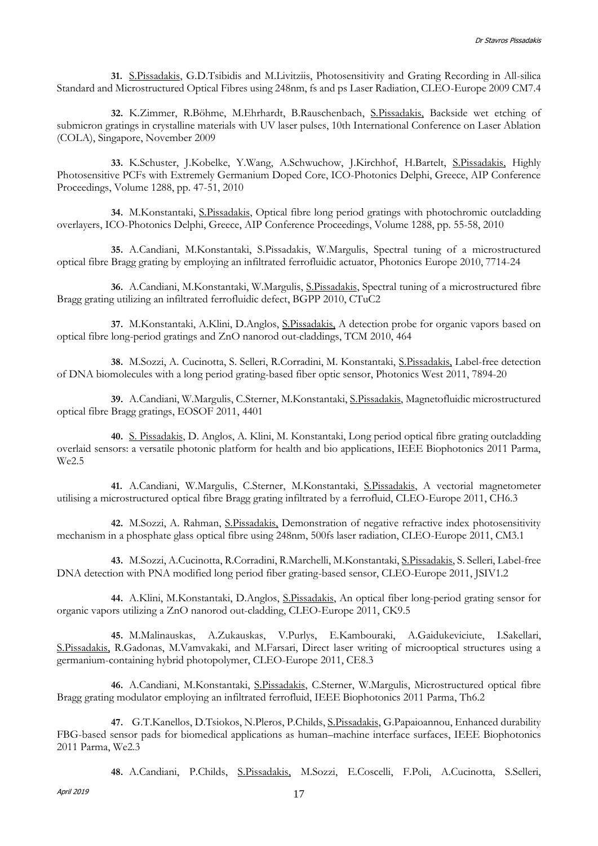**31.** S.Pissadakis, G.D.Tsibidis and M.Livitziis, Photosensitivity and Grating Recording in All-silica Standard and Microstructured Optical Fibres using 248nm, fs and ps Laser Radiation, CLEO-Europe 2009 CM7.4

**32.** K.Zimmer, R.Böhme, M.Ehrhardt, B.Rauschenbach, S.Pissadakis, Backside wet etching of submicron gratings in crystalline materials with UV laser pulses, 10th International Conference on Laser Ablation (COLA), Singapore, November 2009

**33.** K.Schuster, J.Kobelke, Y.Wang, A.Schwuchow, J.Kirchhof, H.Bartelt, S.Pissadakis, Highly Photosensitive PCFs with Extremely Germanium Doped Core, ICO-Photonics Delphi, Greece, AIP Conference Proceedings, Volume 1288, pp. 47-51, 2010

**34.** M.Konstantaki, S.Pissadakis, Optical fibre long period gratings with photochromic outcladding overlayers, ICO-Photonics Delphi, Greece, AIP Conference Proceedings, Volume 1288, pp. 55-58, 2010

**35.** A.Candiani, M.Konstantaki, S.Pissadakis, W.Margulis, Spectral tuning of a microstructured optical fibre Bragg grating by employing an infiltrated ferrofluidic actuator, Photonics Europe 2010, 7714-24

**36.** A.Candiani, M.Konstantaki, W.Margulis, S.Pissadakis, Spectral tuning of a microstructured fibre Bragg grating utilizing an infiltrated ferrofluidic defect, BGPP 2010, CTuC2

**37.** M.Konstantaki, A.Klini, D.Anglos, S.Pissadakis, A detection probe for organic vapors based on optical fibre long-period gratings and ZnO nanorod out-claddings, TCM 2010, 464

**38.** M.Sozzi, A. Cucinotta, S. Selleri, R.Corradini, M. Konstantaki, S.Pissadakis, Label-free detection of DNA biomolecules with a long period grating-based fiber optic sensor, Photonics West 2011, 7894-20

**39.** A.Candiani, W.Margulis, C.Sterner, M.Konstantaki, S.Pissadakis, Magnetofluidic microstructured optical fibre Bragg gratings, EOSOF 2011, 4401

**40.** S. Pissadakis, D. Anglos, A. Klini, M. Konstantaki, Long period optical fibre grating outcladding overlaid sensors: a versatile photonic platform for health and bio applications, IEEE Biophotonics 2011 Parma, We2.5

**41.** A.Candiani, W.Margulis, C.Sterner, M.Konstantaki, S.Pissadakis, A vectorial magnetometer utilising a microstructured optical fibre Bragg grating infiltrated by a ferrofluid, CLEO-Europe 2011, CH6.3

**42.** M.Sozzi, A. Rahman, S.Pissadakis, Demonstration of negative refractive index photosensitivity mechanism in a phosphate glass optical fibre using 248nm, 500fs laser radiation, CLEO-Europe 2011, CM3.1

**43.** M.Sozzi, A.Cucinotta, R.Corradini, R.Marchelli, M.Konstantaki, S.Pissadakis, S. Selleri, Label-free DNA detection with PNA modified long period fiber grating-based sensor, CLEO-Europe 2011, JSIV1.2

**44.** A.Klini, M.Konstantaki, D.Anglos, S.Pissadakis, An optical fiber long-period grating sensor for organic vapors utilizing a ZnO nanorod out-cladding, CLEO-Europe 2011, CK9.5

**45.** M.Malinauskas, A.Zukauskas, V.Purlys, E.Kambouraki, A.Gaidukeviciute, I.Sakellari, S.Pissadakis, R.Gadonas, M.Vamvakaki, and M.Farsari, Direct laser writing of microoptical structures using a germanium-containing hybrid photopolymer, CLEO-Europe 2011, CE8.3

**46.** A.Candiani, M.Konstantaki, S.Pissadakis, C.Sterner, W.Margulis, Microstructured optical fibre Bragg grating modulator employing an infiltrated ferrofluid, IEEE Biophotonics 2011 Parma, Th6.2

**47.** G.T.Kanellos, D.Tsiokos, N.Pleros, P.Childs, S.Pissadakis, G.Papaioannou, Enhanced durability FBG-based sensor pads for biomedical applications as human–machine interface surfaces, IEEE Biophotonics 2011 Parma, We2.3

**48.** A.Candiani, P.Childs, S.Pissadakis, M.Sozzi, E.Coscelli, F.Poli, A.Cucinotta, S.Selleri,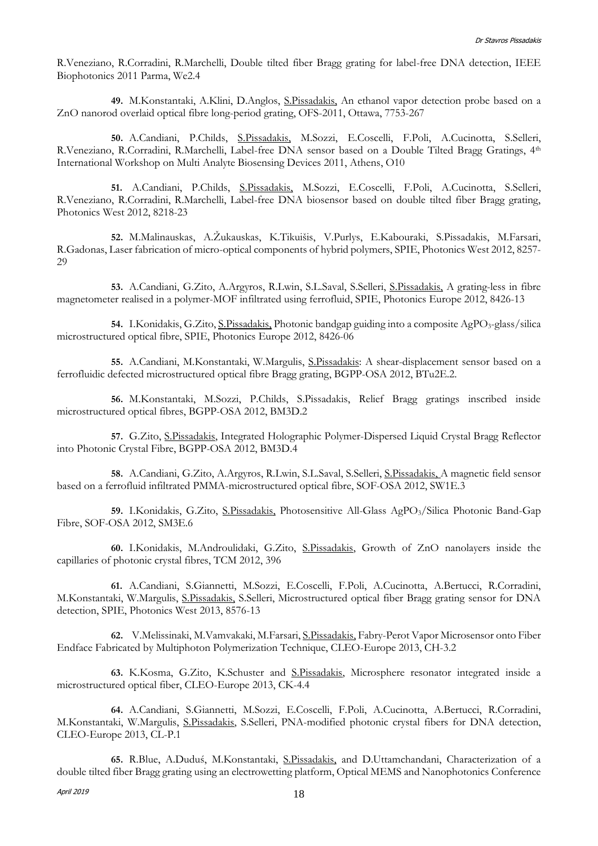R.Veneziano, R.Corradini, R.Marchelli, Double tilted fiber Bragg grating for label-free DNA detection, IEEE Biophotonics 2011 Parma, We2.4

**49.** M.Konstantaki, A.Klini, D.Anglos, S.Pissadakis, An ethanol vapor detection probe based on a ZnO nanorod overlaid optical fibre long-period grating, OFS-2011, Ottawa, 7753-267

**50.** A.Candiani, P.Childs, S.Pissadakis, M.Sozzi, E.Coscelli, F.Poli, A.Cucinotta, S.Selleri, R.Veneziano, R.Corradini, R.Marchelli, Label-free DNA sensor based on a Double Tilted Bragg Gratings, 4<sup>th</sup> International Workshop on Multi Analyte Biosensing Devices 2011, Athens, O10

**51.** A.Candiani, P.Childs, S.Pissadakis, M.Sozzi, E.Coscelli, F.Poli, A.Cucinotta, S.Selleri, R.Veneziano, R.Corradini, R.Marchelli, Label-free DNA biosensor based on double tilted fiber Bragg grating, Photonics West 2012, 8218-23

**52.** M.Malinauskas, A.Žukauskas, K.Tikuišis, V.Purlys, E.Kabouraki, S.Pissadakis, M.Farsari, R.Gadonas, Laser fabrication of micro-optical components of hybrid polymers, SPIE, Photonics West 2012, 8257- 29

**53.** A.Candiani, G.Zito, A.Argyros, R.Lwin, S.L.Saval, S.Selleri, S.Pissadakis, A grating-less in fibre magnetometer realised in a polymer-MOF infiltrated using ferrofluid, SPIE, Photonics Europe 2012, 8426-13

54. I.Konidakis, G.Zito, <u>S.Pissadakis,</u> Photonic bandgap guiding into a composite AgPO<sub>3</sub>-glass/silica microstructured optical fibre, SPIE, Photonics Europe 2012, 8426-06

**55.** A.Candiani, M.Konstantaki, W.Margulis, S.Pissadakis: A shear-displacement sensor based on a ferrofluidic defected microstructured optical fibre Bragg grating, BGPP-OSA 2012, BTu2E.2.

**56.** M.Konstantaki, M.Sozzi, P.Childs, S.Pissadakis, Relief Bragg gratings inscribed inside microstructured optical fibres, BGPP-OSA 2012, BM3D.2

**57.** G.Zito, S.Pissadakis, Integrated Holographic Polymer-Dispersed Liquid Crystal Bragg Reflector into Photonic Crystal Fibre, BGPP-OSA 2012, BM3D.4

**58.** A.Candiani, G.Zito, A.Argyros, R.Lwin, S.L.Saval, S.Selleri, S.Pissadakis, A magnetic field sensor based on a ferrofluid infiltrated PMMA-microstructured optical fibre, SOF-OSA 2012, SW1E.3

59. I.Konidakis, G.Zito, S.Pissadakis, Photosensitive All-Glass AgPO<sub>3</sub>/Silica Photonic Band-Gap Fibre, SOF-OSA 2012, SM3E.6

**60.** I.Konidakis, M.Androulidaki, G.Zito, S.Pissadakis, Growth of ZnO nanolayers inside the capillaries of photonic crystal fibres, TCM 2012, 396

**61.** A.Candiani, S.Giannetti, M.Sozzi, E.Coscelli, F.Poli, A.Cucinotta, A.Bertucci, R.Corradini, M.Konstantaki, W.Margulis, S.Pissadakis, S.Selleri, Microstructured optical fiber Bragg grating sensor for DNA detection, SPIE, Photonics West 2013, 8576-13

**62.** V.Melissinaki, M.Vamvakaki, M.Farsari, S.Pissadakis, Fabry-Perot Vapor Microsensor onto Fiber Endface Fabricated by Multiphoton Polymerization Technique, CLEO-Europe 2013, CH-3.2

**63.** K.Kosma, G.Zito, K.Schuster and S.Pissadakis, Microsphere resonator integrated inside a microstructured optical fiber, CLEO-Europe 2013, CK-4.4

**64.** A.Candiani, S.Giannetti, M.Sozzi, E.Coscelli, F.Poli, A.Cucinotta, A.Bertucci, R.Corradini, M.Konstantaki, W.Margulis, S.Pissadakis, S.Selleri, PNA-modified photonic crystal fibers for DNA detection, CLEO-Europe 2013, CL-P.1

**65.** R.Blue, A.Duduś, M.Konstantaki, S.Pissadakis, and D.Uttamchandani, Characterization of a double tilted fiber Bragg grating using an electrowetting platform, Optical MEMS and Nanophotonics Conference

April 2019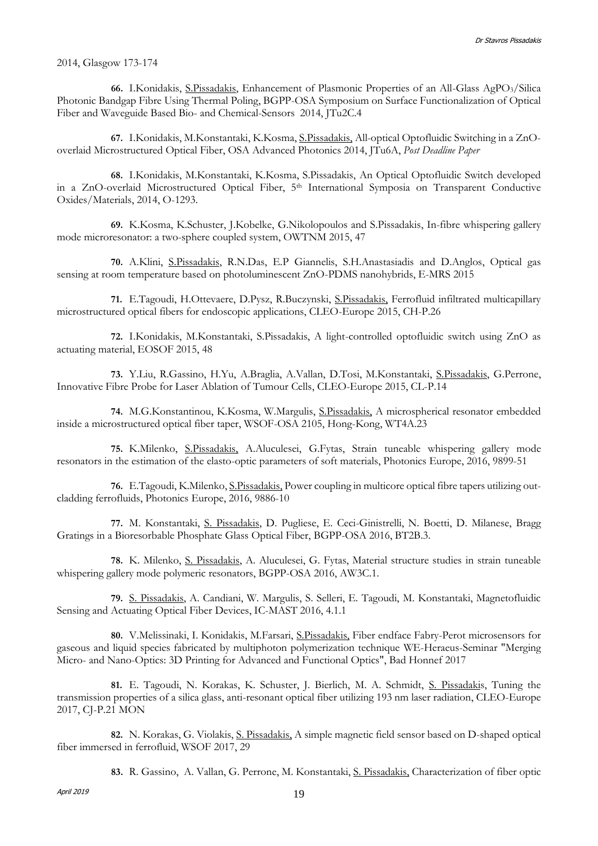#### 2014, Glasgow 173-174

**66.** I.Konidakis, S.Pissadakis, Enhancement of Plasmonic Properties of an All-Glass AgPO3/Silica Photonic Bandgap Fibre Using Thermal Poling, BGPP-OSA Symposium on Surface Functionalization of Optical Fiber and Waveguide Based Bio- and Chemical-Sensors 2014, JTu2C.4

**67.** I.Konidakis, M.Konstantaki, K.Kosma, S.Pissadakis, All-optical Optofluidic Switching in a ZnOoverlaid Microstructured Optical Fiber, OSA Advanced Photonics 2014, JTu6A, *Post Deadline Paper*

**68.** I.Konidakis, M.Konstantaki, K.Kosma, S.Pissadakis, An Optical Optofluidic Switch developed in a ZnO-overlaid Microstructured Optical Fiber, 5<sup>th</sup> International Symposia on Transparent Conductive Oxides/Materials, 2014, O-1293.

**69.** K.Kosma, K.Schuster, J.Kobelke, G.Nikolopoulos and S.Pissadakis, In-fibre whispering gallery mode microresonator: a two-sphere coupled system, OWTNM 2015, 47

**70.** A.Klini, S.Pissadakis, R.N.Das, E.P Giannelis, S.H.Anastasiadis and D.Anglos, Optical gas sensing at room temperature based on photoluminescent ZnO-PDMS nanohybrids, E-MRS 2015

**71.** E.Tagoudi, H.Ottevaere, D.Pysz, R.Buczynski, S.Pissadakis, Ferrofluid infiltrated multicapillary microstructured optical fibers for endoscopic applications, CLEO-Europe 2015, CH-P.26

**72.** I.Konidakis, M.Konstantaki, S.Pissadakis, A light-controlled optofluidic switch using ZnO as actuating material, EOSOF 2015, 48

**73.** Y.Liu, R.Gassino, H.Yu, A.Braglia, A.Vallan, D.Tosi, M.Konstantaki, S.Pissadakis, G.Perrone, Innovative Fibre Probe for Laser Ablation of Tumour Cells, CLEO-Europe 2015, CL-P.14

**74.** M.G.Konstantinou, K.Kosma, W.Margulis, S.Pissadakis, A microspherical resonator embedded inside a microstructured optical fiber taper, WSOF-OSA 2105, Hong-Kong, WT4A.23

**75.** K.Milenko, S.Pissadakis, A.Aluculesei, G.Fytas, Strain tuneable whispering gallery mode resonators in the estimation of the elasto-optic parameters of soft materials, Photonics Europe, 2016, 9899-51

**76.** E.Tagoudi, K.Milenko, S.Pissadakis, Power coupling in multicore optical fibre tapers utilizing outcladding ferrofluids, Photonics Europe, 2016, 9886-10

**77.** M. Konstantaki, S. Pissadakis, D. Pugliese, E. Ceci-Ginistrelli, N. Boetti, D. Milanese, Bragg Gratings in a Bioresorbable Phosphate Glass Optical Fiber, BGPP-OSA 2016, BT2B.3.

**78.** K. Milenko, S. Pissadakis, A. Aluculesei, G. Fytas, Material structure studies in strain tuneable whispering gallery mode polymeric resonators, BGPP-OSA 2016, AW3C.1.

**79.** S. Pissadakis, A. Candiani, W. Margulis, S. Selleri, E. Tagoudi, M. Konstantaki, Magnetofluidic Sensing and Actuating Optical Fiber Devices, IC-MAST 2016, 4.1.1

**80.** V.Melissinaki, I. Konidakis, M.Farsari, S.Pissadakis, Fiber endface Fabry-Perot microsensors for gaseous and liquid species fabricated by multiphoton polymerization technique WE-Heraeus-Seminar "Merging Micro- and Nano-Optics: 3D Printing for Advanced and Functional Optics", Bad Honnef 2017

**81.** E. Tagoudi, N. Korakas, K. Schuster, J. Bierlich, M. A. Schmidt, S. Pissadakis, Tuning the transmission properties of a silica glass, anti-resonant optical fiber utilizing 193 nm laser radiation, CLEO-Europe 2017, CJ-P.21 MON

**82.** N. Korakas, G. Violakis, S. Pissadakis, A simple magnetic field sensor based on D-shaped optical fiber immersed in ferrofluid, WSOF 2017, 29

**83.** R. Gassino, A. Vallan, G. Perrone, M. Konstantaki, S. Pissadakis, Characterization of fiber optic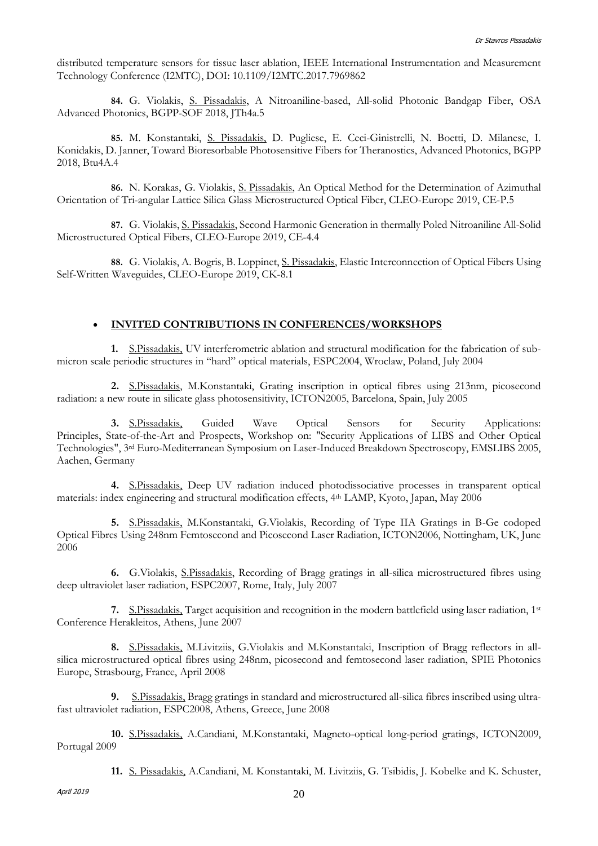distributed temperature sensors for tissue laser ablation, IEEE International Instrumentation and Measurement Technology Conference (I2MTC), DOI: 10.1109/I2MTC.2017.7969862

**84.** G. Violakis, S. Pissadakis, A Nitroaniline-based, All-solid Photonic Bandgap Fiber, OSA Advanced Photonics, BGPP-SOF 2018, JTh4a.5

**85.** M. Konstantaki, S. Pissadakis, D. Pugliese, E. Ceci-Ginistrelli, N. Boetti, D. Milanese, I. Konidakis, D. Janner, Toward Bioresorbable Photosensitive Fibers for Theranostics, Advanced Photonics, BGPP 2018, Btu4A.4

**86.** N. Korakas, G. Violakis, S. Pissadakis, An Optical Method for the Determination of Azimuthal Orientation of Tri-angular Lattice Silica Glass Microstructured Optical Fiber, CLEO-Europe 2019, CE-P.5

**87.** G. Violakis, S. Pissadakis, Second Harmonic Generation in thermally Poled Nitroaniline All-Solid Microstructured Optical Fibers, CLEO-Europe 2019, CE-4.4

**88.** G. Violakis, A. Bogris, B. Loppinet, S. Pissadakis, Elastic Interconnection of Optical Fibers Using Self-Written Waveguides, CLEO-Europe 2019, CK-8.1

### **INVITED CONTRIBUTIONS IN CONFERENCES/WORKSHOPS**

**1.** S.Pissadakis, UV interferometric ablation and structural modification for the fabrication of submicron scale periodic structures in "hard" optical materials, ESPC2004, Wroclaw, Poland, July 2004

**2.** S.Pissadakis, M.Konstantaki, Grating inscription in optical fibres using 213nm, picosecond radiation: a new route in silicate glass photosensitivity, ICTON2005, Barcelona, Spain, July 2005

**3.** S.Pissadakis, Guided Wave Optical Sensors for Security Applications: Principles, State-of-the-Art and Prospects, Workshop on: "Security Applications of LIBS and Other Optical Technologies", 3rd Euro-Mediterranean Symposium on Laser-Induced Breakdown Spectroscopy, EMSLIBS 2005, Aachen, Germany

**4.** S.Pissadakis, Deep UV radiation induced photodissociative processes in transparent optical materials: index engineering and structural modification effects, 4th LAMP, Kyoto, Japan, May 2006

**5.** S.Pissadakis, M.Konstantaki, G.Violakis, Recording of Type IIA Gratings in B-Ge codoped Optical Fibres Using 248nm Femtosecond and Picosecond Laser Radiation, ICTON2006, Nottingham, UK, June 2006

**6.** G.Violakis, S.Pissadakis, Recording of Bragg gratings in all-silica microstructured fibres using deep ultraviolet laser radiation, ESPC2007, Rome, Italy, July 2007

**7.** S.Pissadakis, Target acquisition and recognition in the modern battlefield using laser radiation, 1st Conference Herakleitos, Athens, June 2007

**8.** S.Pissadakis, M.Livitziis, G.Violakis and M.Konstantaki, Inscription of Bragg reflectors in allsilica microstructured optical fibres using 248nm, picosecond and femtosecond laser radiation, SPIE Photonics Europe, Strasbourg, France, April 2008

**9.** S.Pissadakis, Bragg gratings in standard and microstructured all-silica fibres inscribed using ultrafast ultraviolet radiation, ESPC2008, Athens, Greece, June 2008

**10.** S.Pissadakis, A.Candiani, M.Konstantaki, Magneto-optical long-period gratings, ICTON2009, Portugal 2009

**11.** S. Pissadakis, A.Candiani, M. Konstantaki, M. Livitziis, G. Tsibidis, J. Kobelke and K. Schuster,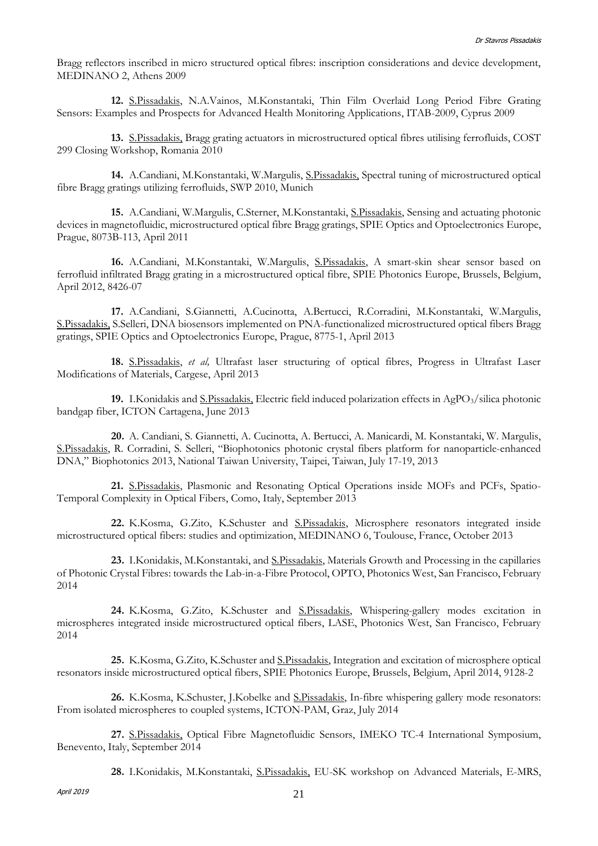Bragg reflectors inscribed in micro structured optical fibres: inscription considerations and device development, MEDINANO 2, Athens 2009

**12.** S.Pissadakis, N.A.Vainos, M.Konstantaki, Thin Film Overlaid Long Period Fibre Grating Sensors: Examples and Prospects for Advanced Health Monitoring Applications, ITAB-2009, Cyprus 2009

**13.** S.Pissadakis, Bragg grating actuators in microstructured optical fibres utilising ferrofluids, COST 299 Closing Workshop, Romania 2010

**14.** A.Candiani, M.Konstantaki, W.Margulis, S.Pissadakis, Spectral tuning of microstructured optical fibre Bragg gratings utilizing ferrofluids, SWP 2010, Munich

**15.** A.Candiani, W.Margulis, C.Sterner, M.Konstantaki, S.Pissadakis, Sensing and actuating photonic devices in magnetofluidic, microstructured optical fibre Bragg gratings, SPIE Optics and Optoelectronics Europe, Prague, 8073B-113, April 2011

**16.** A.Candiani, M.Konstantaki, W.Margulis, S.Pissadakis, A smart-skin shear sensor based on ferrofluid infiltrated Bragg grating in a microstructured optical fibre, SPIE Photonics Europe, Brussels, Belgium, April 2012, 8426-07

**17.** A.Candiani, S.Giannetti, A.Cucinotta, A.Bertucci, R.Corradini, M.Konstantaki, W.Margulis, S.Pissadakis, S.Selleri, DNA biosensors implemented on PNA-functionalized microstructured optical fibers Bragg gratings, SPIE Optics and Optoelectronics Europe, Prague, 8775-1, April 2013

**18.** S.Pissadakis, *et al,* Ultrafast laser structuring of optical fibres, Progress in Ultrafast Laser Modifications of Materials, Cargese, April 2013

**19.** I.Konidakis and S.Pissadakis, Electric field induced polarization effects in AgPO<sub>3</sub>/silica photonic bandgap fiber, ICTON Cartagena, June 2013

**20.** A. Candiani, S. Giannetti, A. Cucinotta, A. Bertucci, A. Manicardi, M. Konstantaki, W. Margulis, S.Pissadakis, R. Corradini, S. Selleri, "Biophotonics photonic crystal fibers platform for nanoparticle-enhanced DNA," Biophotonics 2013, National Taiwan University, Taipei, Taiwan, July 17-19, 2013

**21.** S.Pissadakis, Plasmonic and Resonating Optical Operations inside MOFs and PCFs, Spatio-Temporal Complexity in Optical Fibers, Como, Italy, September 2013

**22.** K.Kosma, G.Zito, K.Schuster and S.Pissadakis, Microsphere resonators integrated inside microstructured optical fibers: studies and optimization, MEDINANO 6, Toulouse, France, October 2013

**23.** I.Konidakis, M.Konstantaki, and S.Pissadakis, Materials Growth and Processing in the capillaries of Photonic Crystal Fibres: towards the Lab-in-a-Fibre Protocol, OPTO, Photonics West, San Francisco, February 2014

**24.** K.Kosma, G.Zito, K.Schuster and S.Pissadakis, Whispering-gallery modes excitation in microspheres integrated inside microstructured optical fibers, LASE, Photonics West, San Francisco, February 2014

**25.** K.Kosma, G.Zito, K.Schuster and S.Pissadakis, Integration and excitation of microsphere optical resonators inside microstructured optical fibers, SPIE Photonics Europe, Brussels, Belgium, April 2014, 9128-2

**26.** K.Kosma, K.Schuster, J.Kobelke and S.Pissadakis, In-fibre whispering gallery mode resonators: From isolated microspheres to coupled systems, ICTON-PAM, Graz, July 2014

**27.** S.Pissadakis, Optical Fibre Magnetofluidic Sensors, IMEKO TC-4 International Symposium, Benevento, Italy, September 2014

**28.** I.Konidakis, M.Konstantaki, S.Pissadakis, EU-SK workshop on Advanced Materials, E-MRS,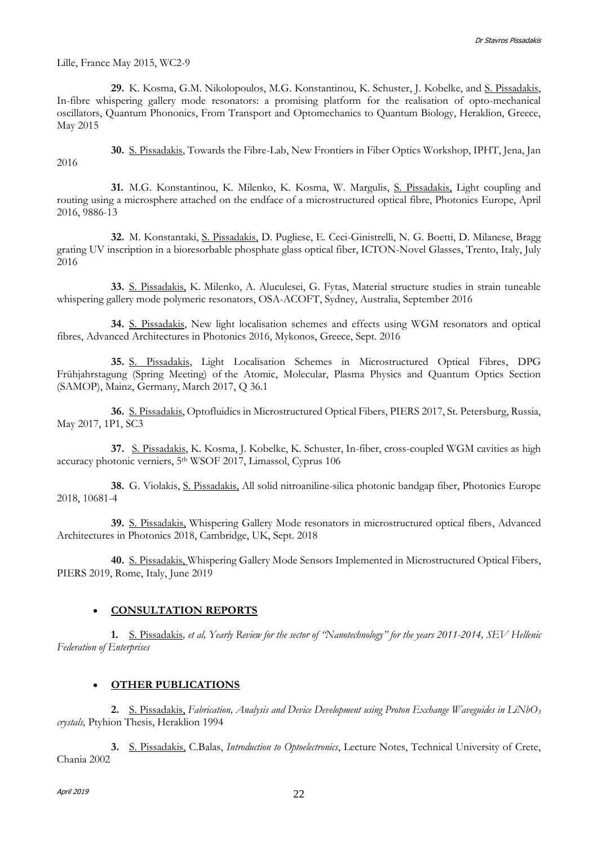Lille, France May 2015, WC2-9

**29.** K. Kosma, G.M. Nikolopoulos, M.G. Konstantinou, K. Schuster, J. Kobelke, and S. Pissadakis, In-fibre whispering gallery mode resonators: a promising platform for the realisation of opto-mechanical oscillators, Quantum Phononics, From Transport and Optomechanics to Quantum Biology, Heraklion, Greece, May 2015

**30.** S. Pissadakis, Towards the Fibre-Lab, New Frontiers in Fiber Optics Workshop, IPHT, Jena, Jan 2016

**31.** M.G. Konstantinou, K. Milenko, K. Kosma, W. Margulis, S. Pissadakis, Light coupling and routing using a microsphere attached on the endface of a microstructured optical fibre, Photonics Europe, April 2016, 9886-13

**32.** M. Konstantaki, S. Pissadakis, D. Pugliese, E. Ceci-Ginistrelli, N. G. Boetti, D. Milanese, Bragg grating UV inscription in a bioresorbable phosphate glass optical fiber, ICTON-Novel Glasses, Trento, Italy, July 2016

**33.** S. Pissadakis, K. Milenko, A. Aluculesei, G. Fytas, Material structure studies in strain tuneable whispering gallery mode polymeric resonators, OSA-ACOFT, Sydney, Australia, September 2016

**34.** S. Pissadakis, New light localisation schemes and effects using WGM resonators and optical fibres, Advanced Architectures in Photonics 2016, Mykonos, Greece, Sept. 2016

**35.** S. Pissadakis, Light Localisation Schemes in Microstructured Optical Fibres, DPG Frühjahrstagung (Spring Meeting) of the Atomic, Molecular, Plasma Physics and Quantum Optics Section (SAMOP), Mainz, Germany, March 2017, Q 36.1

**36.** S. Pissadakis, Optofluidics in Microstructured Optical Fibers, PIERS 2017, St. Petersburg, Russia, May 2017, 1P1, SC3

**37.** S. Pissadakis, K. Kosma, J. Kobelke, K. Schuster, In-fiber, cross-coupled WGM cavities as high accuracy photonic verniers, 5<sup>th</sup> WSOF 2017, Limassol, Cyprus 106

**38.** G. Violakis, S. Pissadakis, All solid nitroaniline-silica photonic bandgap fiber, Photonics Europe 2018, 10681-4

**39.** S. Pissadakis, Whispering Gallery Mode resonators in microstructured optical fibers, Advanced Architectures in Photonics 2018, Cambridge, UK, Sept. 2018

**40.** S. Pissadakis, Whispering Gallery Mode Sensors Implemented in Microstructured Optical Fibers, PIERS 2019, Rome, Italy, June 2019

### **CONSULTATION REPORTS**

**1.** S. Pissadakis*, et al, Yearly Review for the sector of "Nanotechnology" for the years 2011-2014, SEV Hellenic Federation of Enterprises*

### **OTHER PUBLICATIONS**

**2.** S. Pissadakis, *Fabrication, Analysis and Device Development using Proton Exchange Waveguides in LiNbO<sup>3</sup> crystals,* Ptyhion Thesis, Heraklion 1994

**3.** S. Pissadakis, C.Balas, *Introduction to Optoelectronics*, Lecture Notes, Technical University of Crete, Chania 2002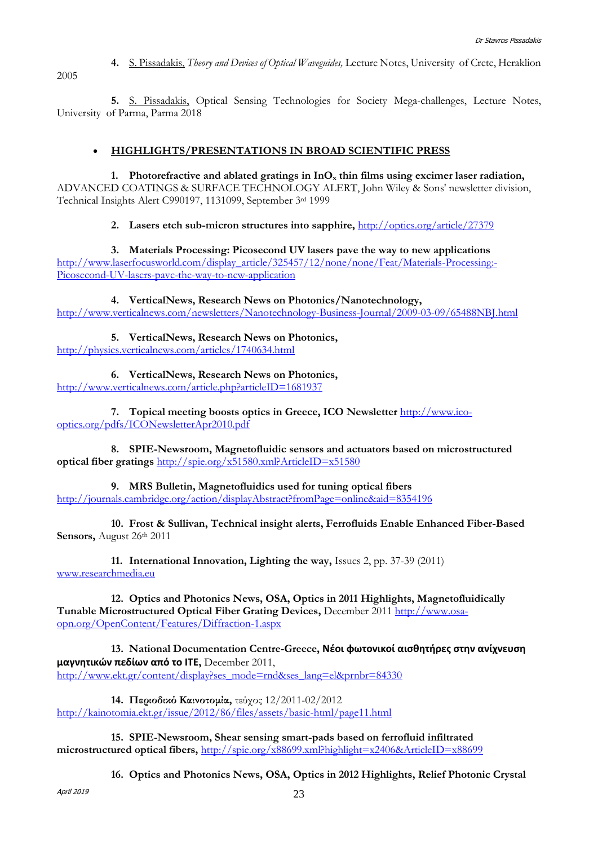**4.** S. Pissadakis, *Theory and Devices of Optical Waveguides,* Lecture Notes, University of Crete, Heraklion

2005

**5.** S. Pissadakis, Optical Sensing Technologies for Society Mega-challenges, Lecture Notes, University of Parma, Parma 2018

#### **HIGHLIGHTS/PRESENTATIONS IN BROAD SCIENTIFIC PRESS**

**1.** Photorefractive and ablated gratings in  $InO<sub>x</sub>$  thin films using excimer laser radiation, ADVANCED COATINGS & SURFACE TECHNOLOGY ALERT, John Wiley & Sons' newsletter division, Technical Insights Alert C990197, 1131099, September 3rd 1999

**2. Lasers etch sub-micron structures into sapphire,** <http://optics.org/article/27379>

**3. Materials Processing: Picosecond UV lasers pave the way to new applications** [http://www.laserfocusworld.com/display\\_article/325457/12/none/none/Feat/Materials-Processing:-](http://www.laserfocusworld.com/display_article/325457/12/none/none/Feat/Materials-Processing:-Picosecond-UV-lasers-pave-the-way-to-new-application) [Picosecond-UV-lasers-pave-the-way-to-new-application](http://www.laserfocusworld.com/display_article/325457/12/none/none/Feat/Materials-Processing:-Picosecond-UV-lasers-pave-the-way-to-new-application)

**4. VerticalNews, Research News on Photonics/Nanotechnology,**  <http://www.verticalnews.com/newsletters/Nanotechnology-Business-Journal/2009-03-09/65488NBJ.html>

**5. VerticalNews, Research News on Photonics,** <http://physics.verticalnews.com/articles/1740634.html>

**6. VerticalNews, Research News on Photonics,**  <http://www.verticalnews.com/article.php?articleID=1681937>

**7. Topical meeting boosts optics in Greece, ICO Newsletter** [http://www.ico](http://www.ico-optics.org/pdfs/ICONewsletterApr2010.pdf)[optics.org/pdfs/ICONewsletterApr2010.pdf](http://www.ico-optics.org/pdfs/ICONewsletterApr2010.pdf)

**8. SPIE-Newsroom, Magnetofluidic sensors and actuators based on microstructured optical fiber gratings** <http://spie.org/x51580.xml?ArticleID=x51580>

**9. MRS Bulletin, Magnetofluidics used for tuning optical fibers** <http://journals.cambridge.org/action/displayAbstract?fromPage=online&aid=8354196>

**10. Frost & Sullivan, Technical insight alerts, Ferrofluids Enable Enhanced Fiber-Based**  Sensors, August 26<sup>th</sup> 2011

**11. International Innovation, Lighting the way,** Issues 2, pp. 37-39 (2011) [www.researchmedia.eu](http://www.researchmedia.eu/)

**12. Optics and Photonics News, OSA, Optics in 2011 Highlights, Magnetofluidically Tunable Microstructured Optical Fiber Grating Devices,** December 2011 [http://www.osa](http://www.osa-opn.org/OpenContent/Features/Diffraction-1.aspx)[opn.org/OpenContent/Features/Diffraction-1.aspx](http://www.osa-opn.org/OpenContent/Features/Diffraction-1.aspx)

**13. National Documentation Centre-Greece, Νέοι φωτονικοί αισθητήρες στην ανίχνευση μαγνητικών πεδίων από το ΙΤΕ,** December 2011, [http://www.ekt.gr/content/display?ses\\_mode=rnd&ses\\_lang=el&prnbr=84330](http://www.ekt.gr/content/display?ses_mode=rnd&ses_lang=el&prnbr=84330)

**14. Περιοδικό Καινοτομία,** τεύχος 12/2011-02/2012 <http://kainotomia.ekt.gr/issue/2012/86/files/assets/basic-html/page11.html>

**15. SPIE-Newsroom, Shear sensing smart-pads based on ferrofluid infiltrated microstructured optical fibers,** <http://spie.org/x88699.xml?highlight=x2406&ArticleID=x88699>

**16. Optics and Photonics News, OSA, Optics in 2012 Highlights, Relief Photonic Crystal** 

April 2019